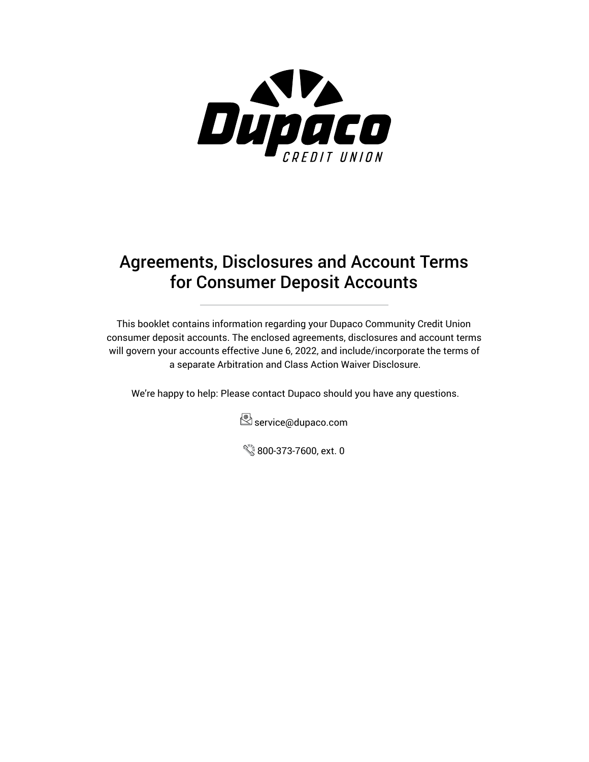

# Agreements, Disclosures and Account Terms for Consumer Deposit Accounts

This booklet contains information regarding your Dupaco Community Credit Union consumer deposit accounts. The enclosed agreements, disclosures and account terms will govern your accounts effective June 6, 2022, and include/incorporate the terms of a separate Arbitration and Class Action Waiver Disclosure.

We're happy to help: Please contact Dupaco should you have any questions.



800-373-7600, ext. 0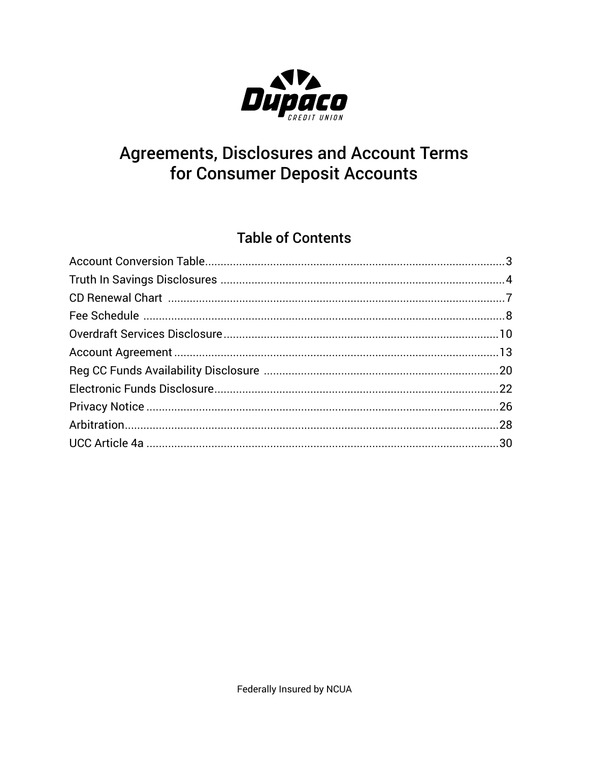

# **Agreements, Disclosures and Account Terms** for Consumer Deposit Accounts

## **Table of Contents**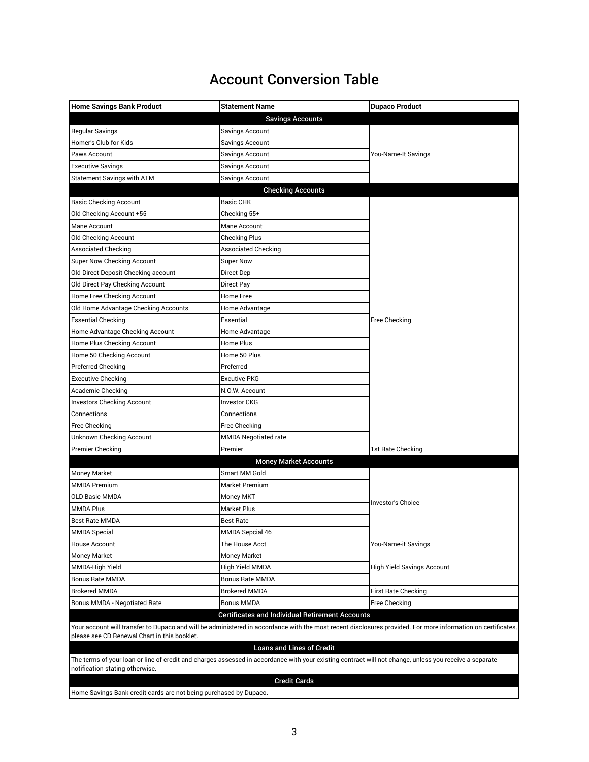## Account Conversion Table

<span id="page-2-0"></span>

| <b>Home Savings Bank Product</b>                                                                                                                             | <b>Statement Name</b>        | <b>Dupaco Product</b>             |  |
|--------------------------------------------------------------------------------------------------------------------------------------------------------------|------------------------------|-----------------------------------|--|
|                                                                                                                                                              | <b>Savings Accounts</b>      |                                   |  |
| <b>Regular Savings</b>                                                                                                                                       | Savings Account              |                                   |  |
| Homer's Club for Kids                                                                                                                                        | Savings Account              |                                   |  |
| Paws Account                                                                                                                                                 | Savings Account              | You-Name-It Savings               |  |
| Executive Savings                                                                                                                                            | Savings Account              |                                   |  |
| Statement Savings with ATM                                                                                                                                   | Savings Account              |                                   |  |
|                                                                                                                                                              | <b>Checking Accounts</b>     |                                   |  |
| <b>Basic Checking Account</b>                                                                                                                                | <b>Basic CHK</b>             |                                   |  |
| Old Checking Account +55                                                                                                                                     | Checking 55+                 |                                   |  |
| Mane Account                                                                                                                                                 | Mane Account                 |                                   |  |
| Old Checking Account                                                                                                                                         | <b>Checking Plus</b>         |                                   |  |
| <b>Associated Checking</b>                                                                                                                                   | <b>Associated Checking</b>   |                                   |  |
| Super Now Checking Account                                                                                                                                   | Super Now                    |                                   |  |
| Old Direct Deposit Checking account                                                                                                                          | Direct Dep                   |                                   |  |
| Old Direct Pay Checking Account                                                                                                                              | Direct Pay                   |                                   |  |
| Home Free Checking Account                                                                                                                                   | Home Free                    |                                   |  |
| Old Home Advantage Checking Accounts                                                                                                                         | Home Advantage               |                                   |  |
| <b>Essential Checking</b>                                                                                                                                    | Essential                    | Free Checking                     |  |
| Home Advantage Checking Account                                                                                                                              | Home Advantage               |                                   |  |
| Home Plus Checking Account                                                                                                                                   | Home Plus                    |                                   |  |
| Home 50 Checking Account                                                                                                                                     | Home 50 Plus                 |                                   |  |
| <b>Preferred Checking</b>                                                                                                                                    | Preferred                    |                                   |  |
| <b>Executive Checking</b>                                                                                                                                    | <b>Excutive PKG</b>          |                                   |  |
| Academic Checking                                                                                                                                            | N.O.W. Account               |                                   |  |
| <b>Investors Checking Account</b>                                                                                                                            | <b>Investor CKG</b>          |                                   |  |
| Connections                                                                                                                                                  | Connections                  |                                   |  |
| Free Checking                                                                                                                                                | Free Checking                |                                   |  |
| Unknown Checking Account                                                                                                                                     | MMDA Negotiated rate         |                                   |  |
| <b>Premier Checking</b>                                                                                                                                      | Premier                      | 1st Rate Checking                 |  |
|                                                                                                                                                              | <b>Money Market Accounts</b> |                                   |  |
| <b>Money Market</b>                                                                                                                                          | Smart MM Gold                |                                   |  |
| <b>MMDA Premium</b>                                                                                                                                          | Market Premium               |                                   |  |
| <b>OLD Basic MMDA</b>                                                                                                                                        | Money MKT                    | Investor's Choice                 |  |
| <b>MMDA Plus</b>                                                                                                                                             | Market Plus                  |                                   |  |
| <b>Best Rate MMDA</b>                                                                                                                                        | Best Rate                    |                                   |  |
| <b>MMDA Special</b>                                                                                                                                          | MMDA Sepcial 46              |                                   |  |
| <b>House Account</b>                                                                                                                                         | The House Acct               | You-Name-it Savings               |  |
| <b>Money Market</b>                                                                                                                                          | Money Market                 |                                   |  |
| MMDA-High Yield                                                                                                                                              | High Yield MMDA              | <b>High Yield Savings Account</b> |  |
| <b>Bonus Rate MMDA</b>                                                                                                                                       | <b>Bonus Rate MMDA</b>       |                                   |  |
| <b>Brokered MMDA</b>                                                                                                                                         | <b>Brokered MMDA</b>         | First Rate Checking               |  |
| <b>Bonus MMDA - Negotiated Rate</b>                                                                                                                          | <b>Bonus MMDA</b>            | Free Checking                     |  |
| <b>Certificates and Individual Retirement Accounts</b>                                                                                                       |                              |                                   |  |
| Your account will transfer to Dupaco and will be administered in accordance with the most recent disclosures provided. For more information on certificates, |                              |                                   |  |
| please see CD Renewal Chart in this booklet.                                                                                                                 |                              |                                   |  |
| <b>Loans and Lines of Credit</b>                                                                                                                             |                              |                                   |  |
| The terms of your loan or line of credit and charges assessed in accordance with your existing contract will not change, unless you receive a separate       |                              |                                   |  |
| notification stating otherwise.                                                                                                                              | <b>Credit Cards</b>          |                                   |  |
|                                                                                                                                                              |                              |                                   |  |

Home Savings Bank credit cards are not being purchased by Dupaco.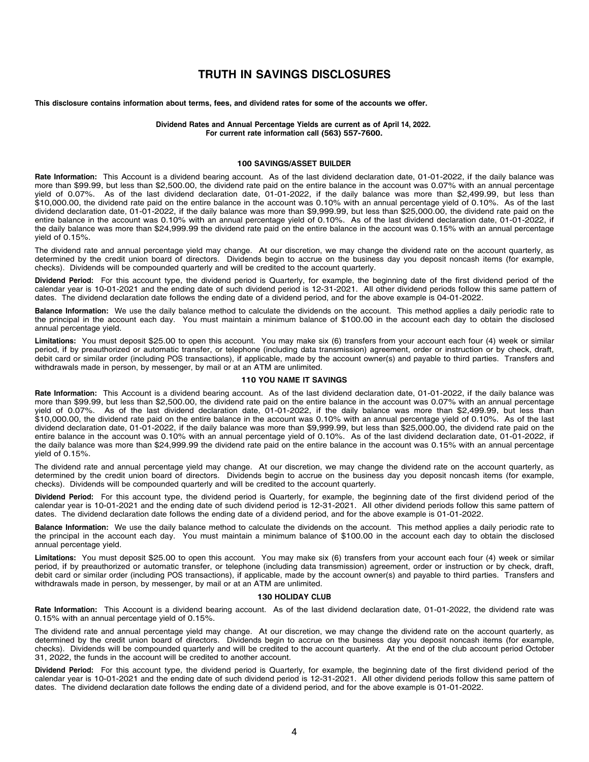### **TRUTH IN SAVINGS DISCLOSURES**

<span id="page-3-0"></span>This disclosure contains information about terms, fees, and dividend rates for some of the accounts we offer.

**Dividend Rates and Annual Percentage Yields are current as of April 14, 2022. For current rate information call (563) 557-7600.**

#### **100 SAVINGS/ASSET BUILDER This disclosure contains information about terms, fees, and dividend rates for some of the accounts we offer.**

Rate Information: This Account is a dividend bearing account. As of the last dividend declaration date, 01-01-2022, if the daily balance was more than \$99.99, but less than \$2,500.00, the dividend rate paid on the entire balance in the account was 0.07% with an annual percentage yield of 0.07%. As of the last dividend declaration date, 01-01-2022, if the daily balance was more than \$2,499.99, but less than \$10,000.00, the dividend rate paid on the entire balance in the account was 0.10% with an annual percentage yield of 0.10%. As of the last dividend declaration date, 01-01-2022, if the daily balance was more than \$9,999.99, but less than \$25,000.00, the dividend rate paid on the entire balance in the account was 0.10% with an annual percentage yield of 0.10%. As of the last dividend declaration date, 01-01-2022, if the daily balance was more than \$24,999.99 the dividend rate paid on the entire balance in the account was 0.15% with an annual percentage yield of 0.15%.  $\mu$ ield of 0.15%.  $\mu$ 

The dividend rate and annual percentage yield may change. At our discretion, we may change the dividend rate on the account quarterly, as determined by the credit union board of directors. Dividends begin to accrue on the business day you deposit noncash items (for example, checks). Dividends will be compounded quarterly and will be credited to the account quarterly.

Dividend Period: For this account type, the dividend period is Quarterly, for example, the beginning date of the first dividend period of the calendar year is 10-01-2021 and the ending date of such dividend period is 12-31-2021. All other dividend periods follow this same pattern of dates. The dividend declaration date follows the ending date of a dividend period, and for the above example is 04-01-2022. **Dividend Period:** For this account type, the dividend period is Quarterly, for example, the beginning date of the first dividend period of the

Balance Information: We use the daily balance method to calculate the dividends on the account. This method applies a daily periodic rate to the principal in the account each day. You must maintain a minimum balance of \$100.00 in the account each day to obtain the disclosed annual percentage yield. **Balance Information:** We use the daily balance method to calculate the dividends on the account. This method applies a daily periodic rate to

annaa percentage jiera.<br>Limitations: You must deposit \$25.00 to open this account. You may make six (6) transfers from your account each four (4) week or similar period, if by preauthorized or automatic transfer, or telephone (including data transmission) agreement, order or instruction or by check, draft, debit card or similar order (including POS transactions), if applicable, made by the account owner(s) and payable to third parties. Transfers and withdrawals made in person, by messenger, by mail or at an ATM are unlimited. **Limitations:** You must deposit \$25.00 to open this account. You may make six (6) transfers from your account each four (4) week or similar the randical induction policies, by microcontegers, by must characterize of any to obtain the account each day to obtain the disclosed of  $\alpha$ 

### **110 YOU NAME IT SAVINGS**

Rate Information: This Account is a dividend bearing account. As of the last dividend declaration date, 01-01-2022, if the daily balance was more than \$99.99, but less than \$2,500.00, the dividend rate paid on the entire balance in the account was 0.07% with an annual percentage yield of 0.07%. As of the last dividend declaration date, 01-01-2022, if the daily balance was more than \$2,499.99, but less than \$10,000.00, the dividend rate paid on the entire balance in the account was 0.10% with an annual percentage yield of 0.10%. As of the last dividend declaration date, 01-01-2022, if the daily balance was more than \$9,999.99, but less than \$25,000.00, the dividend rate paid on the entire balance in the account was 0.10% with an annual percentage yield of 0.10%. As of the last dividend declaration date, 01-01-2022, if the daily balance was more than \$24,999.99 the dividend rate paid on the entire balance in the account was 0.15% with an annual percentage yield of 0.15%.  $\mu$ ield of 0.15%.  $\mu$ 

The dividend rate and annual percentage yield may change. At our discretion, we may change the dividend rate on the account quarterly, as determined by the credit union board of directors. Dividends begin to accrue on the business day you deposit noncash items (for example, checks). Dividends will be compounded quarterly and will be credited to the account quarterly.

Dividend Period: For this account type, the dividend period is Quarterly, for example, the beginning date of the first dividend period of the calendar year is 10-01-2021 and the ending date of such dividend period is 12-31-2021. All other dividend periods follow this same pattern of dates. The dividend declaration date follows the ending date of a dividend period, and for the above example is 01-01-2022. Dividend Period: For this account type, the dividend period is Quarterly, for example, the beginning date of the first dividend period of the

Balance Information: We use the daily balance method to calculate the dividends on the account. This method applies a daily periodic rate to the principal in the account each day. You must maintain a minimum balance of \$100.00 in the account each day to obtain the disclosed annual percentage yield. **Balance Information:** We use the daily balance method to calculate the dividends on the account. This method applies a daily periodic rate to

annaarperoemage yiera.<br>Limitations: You must deposit \$25.00 to open this account. You may make six (6) transfers from your account each four (4) week or similar period, if by preauthorized or automatic transfer, or telephone (including data transmission) agreement, order or instruction or by check, draft, debit card or similar order (including POS transactions), if applicable, made by the account owner(s) and payable to third parties. Transfers and withdrawals made in person, by messenger, by mail or at an ATM are unlimited. **Limitations:** You must deposit \$25.00 to open this account. You may make six (6) transfers from your account each four (4) week or similar the randicipal induction policies, by microconteger, by mainter at any trivial are disclosed.

### **130 HOLIDAY CLUB**

Rate Information: This Account is a dividend bearing account. As of the last dividend declaration date, 01-01-2022, the dividend rate was 0.15% with an annual percentage yield of  $0.15$ %.

The dividend rate and annual percentage yield may change. At our discretion, we may change the dividend rate on the account quarterly, as determined by the credit union board of directors. Dividends begin to accrue on the business day you deposit noncash items (for example, checks). Dividends will be compounded quarterly and will be credited to the account quarterly. At the end of the club account period October 31, 2022, the funds in the account will be credited to another account.

Dividend Period: For this account type, the dividend period is Quarterly, for example, the beginning date of the first dividend period of the calendar year is 10-01-2021 and the ending date of such dividend period is 12-31-2021. All other dividend periods follow this same pattern of dates. The dividend declaration date follows the ending date of a dividend period, and for the above example is 01-01-2022. **Dividend Period:** For this account type, the divident determined by the credit union basiness and dividing determined by a directors, and to the deposit on any you deposite  $\alpha$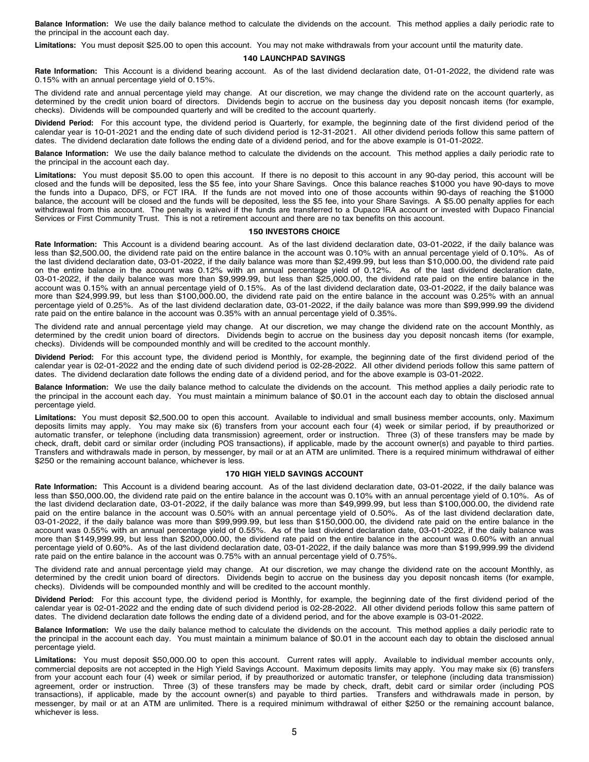**Balance Information:** We use the daily balance method to calculate the dividends on the account. This method applies a daily periodic rate to the principal in the account each day.

**Limitations:** You must deposit \$25.00 to open this account. You may not make withdrawals from your account until the maturity date.

### **140 LAUNCHPAD SAVINGS**

**Rate Information:** This Account is a dividend bearing account. As of the last dividend declaration date, 01-01-2022, the dividend rate was 0.15% with an annual percentage yield of 0.15%.

The dividend rate and annual percentage yield may change. At our discretion, we may change the dividend rate on the account quarterly, as determined by the credit union board of directors. Dividends begin to accrue on the business day you deposit noncash items (for example, checks). Dividends will be compounded quarterly and will be credited to the account quarterly.

**Dividend Period:** For this account type, the dividend period is Quarterly, for example, the beginning date of the first dividend period of the calendar year is 10-01-2021 and the ending date of such dividend period is 12-31-2021. All other dividend periods follow this same pattern of dates. The dividend declaration date follows the ending date of a dividend period, and for the above example is 01-01-2022.

**Balance Information:** We use the daily balance method to calculate the dividends on the account. This method applies a daily periodic rate to the principal in the account each day.

**Limitations:** You must deposit \$5.00 to open this account. If there is no deposit to this account in any 90-day period, this account will be closed and the funds will be deposited, less the \$5 fee, into your Share Savings. Once this balance reaches \$1000 you have 90-days to move the funds into a Dupaco, DFS, or FCT IRA. If the funds are not moved into one of those accounts within 90-days of reaching the \$1000 balance, the account will be closed and the funds will be deposited, less the \$5 fee, into your Share Savings. A \$5.00 penalty applies for each withdrawal from this account. The penalty is waived if the funds are transferred to a Dupaco IRA account or invested with Dupaco Financial Services or First Community Trust. This is not a retirement account and there are no tax benefits on this account.

### **150 INVESTORS CHOICE**

**Rate Information:** This Account is a dividend bearing account. As of the last dividend declaration date, 03-01-2022, if the daily balance was less than \$2,500.00, the dividend rate paid on the entire balance in the account was 0.10% with an annual percentage yield of 0.10%. As of the last dividend declaration date, 03-01-2022, if the daily balance was more than \$2,499.99, but less than \$10,000.00, the dividend rate paid on the entire balance in the account was 0.12% with an annual percentage yield of 0.12%. As of the last dividend declaration date, 03-01-2022, if the daily balance was more than \$9,999.99, but less than \$25,000.00, the dividend rate paid on the entire balance in the account was 0.15% with an annual percentage yield of 0.15%. As of the last dividend declaration date, 03-01-2022, if the daily balance was more than \$24,999.99, but less than \$100,000.00, the dividend rate paid on the entire balance in the account was 0.25% with an annual percentage yield of 0.25%. As of the last dividend declaration date, 03-01-2022, if the daily balance was more than \$99,999.99 the dividend rate paid on the entire balance in the account was 0.35% with an annual percentage yield of 0.35%.

The dividend rate and annual percentage yield may change. At our discretion, we may change the dividend rate on the account Monthly, as determined by the credit union board of directors. Dividends begin to accrue on the business day you deposit noncash items (for example, checks). Dividends will be compounded monthly and will be credited to the account monthly.

**Dividend Period:** For this account type, the dividend period is Monthly, for example, the beginning date of the first dividend period of the calendar year is 02-01-2022 and the ending date of such dividend period is 02-28-2022. All other dividend periods follow this same pattern of dates. The dividend declaration date follows the ending date of a dividend period, and for the above example is 03-01-2022.

**Balance Information:** We use the daily balance method to calculate the dividends on the account. This method applies a daily periodic rate to the principal in the account each day. You must maintain a minimum balance of \$0.01 in the account each day to obtain the disclosed annual percentage yield.

**Limitations:** You must deposit \$2,500.00 to open this account. Available to individual and small business member accounts, only. Maximum deposits limits may apply. You may make six (6) transfers from your account each four (4) week or similar period, if by preauthorized or automatic transfer, or telephone (including data transmission) agreement, order or instruction. Three (3) of these transfers may be made by check, draft, debit card or similar order (including POS transactions), if applicable, made by the account owner(s) and payable to third parties. Transfers and withdrawals made in person, by messenger, by mail or at an ATM are unlimited. There is a required minimum withdrawal of either \$250 or the remaining account balance, whichever is less.

### **170 HIGH YIELD SAVINGS ACCOUNT**

**Rate Information:** This Account is a dividend bearing account. As of the last dividend declaration date, 03-01-2022, if the daily balance was less than \$50,000.00, the dividend rate paid on the entire balance in the account was 0.10% with an annual percentage yield of 0.10%. As of the last dividend declaration date, 03-01-2022, if the daily balance was more than \$49,999.99, but less than \$100,000.00, the dividend rate paid on the entire balance in the account was 0.50% with an annual percentage yield of 0.50%. As of the last dividend declaration date, 03-01-2022, if the daily balance was more than \$99,999.99, but less than \$150,000.00, the dividend rate paid on the entire balance in the account was 0.55% with an annual percentage yield of 0.55%. As of the last dividend declaration date, 03-01-2022, if the daily balance was more than \$149,999.99, but less than \$200,000.00, the dividend rate paid on the entire balance in the account was 0.60% with an annual percentage yield of 0.60%. As of the last dividend declaration date, 03-01-2022, if the daily balance was more than \$199,999.99 the dividend rate paid on the entire balance in the account was 0.75% with an annual percentage yield of 0.75%.

The dividend rate and annual percentage yield may change. At our discretion, we may change the dividend rate on the account Monthly, as determined by the credit union board of directors. Dividends begin to accrue on the business day you deposit noncash items (for example, checks). Dividends will be compounded monthly and will be credited to the account monthly.

**Dividend Period:** For this account type, the dividend period is Monthly, for example, the beginning date of the first dividend period of the calendar year is 02-01-2022 and the ending date of such dividend period is 02-28-2022. All other dividend periods follow this same pattern of dates. The dividend declaration date follows the ending date of a dividend period, and for the above example is 03-01-2022.

**Balance Information:** We use the daily balance method to calculate the dividends on the account. This method applies a daily periodic rate to the principal in the account each day. You must maintain a minimum balance of \$0.01 in the account each day to obtain the disclosed annual percentage yield.

**Limitations:** You must deposit \$50,000.00 to open this account. Current rates will apply. Available to individual member accounts only, commercial deposits are not accepted in the High Yield Savings Account. Maximum deposits limits may apply. You may make six (6) transfers from your account each four (4) week or similar period, if by preauthorized or automatic transfer, or telephone (including data transmission) agreement, order or instruction. Three (3) of these transfers may be made by check, draft, debit card or similar order (including POS transactions), if applicable, made by the account owner(s) and payable to third parties. Transfers and withdrawals made in person, by messenger, by mail or at an ATM are unlimited. There is a required minimum withdrawal of either \$250 or the remaining account balance, whichever is less.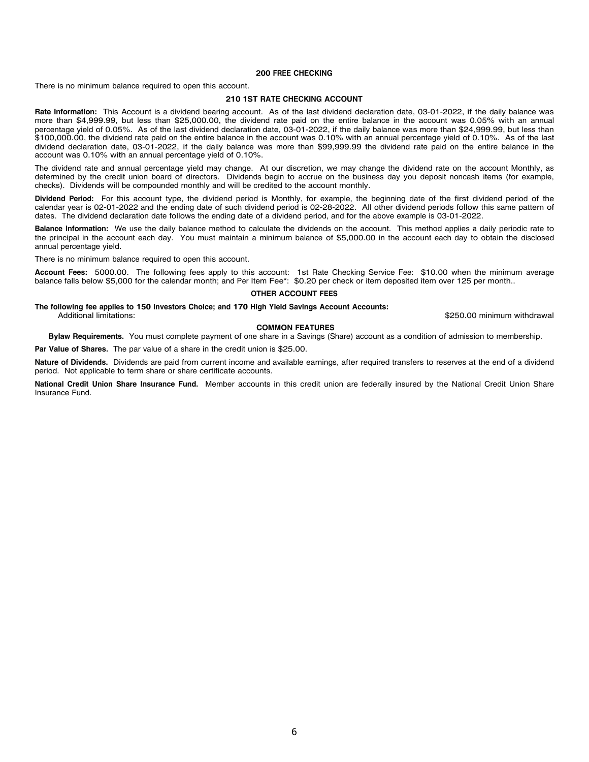### **200 FREE CHECKING**

There is no minimum balance required to open this account.

### **210 1ST RATE CHECKING ACCOUNT**

**Rate Information:** This Account is a dividend bearing account. As of the last dividend declaration date, 03-01-2022, if the daily balance was more than \$4,999.99, but less than \$25,000.00, the dividend rate paid on the entire balance in the account was 0.05% with an annual percentage yield of 0.05%. As of the last dividend declaration date, 03-01-2022, if the daily balance was more than \$24,999.99, but less than \$100,000.00, the dividend rate paid on the entire balance in the account was 0.10% with an annual percentage yield of 0.10%. As of the last dividend declaration date, 03-01-2022, if the daily balance was more than \$99,999.99 the dividend rate paid on the entire balance in the account was 0.10% with an annual percentage yield of 0.10%.

The dividend rate and annual percentage yield may change. At our discretion, we may change the dividend rate on the account Monthly, as determined by the credit union board of directors. Dividends begin to accrue on the business day you deposit noncash items (for example, checks). Dividends will be compounded monthly and will be credited to the account monthly.

**Dividend Period:** For this account type, the dividend period is Monthly, for example, the beginning date of the first dividend period of the calendar year is 02-01-2022 and the ending date of such dividend period is 02-28-2022. All other dividend periods follow this same pattern of dates. The dividend declaration date follows the ending date of a dividend period, and for the above example is 03-01-2022.

**Balance Information:** We use the daily balance method to calculate the dividends on the account. This method applies a daily periodic rate to the principal in the account each day. You must maintain a minimum balance of \$5,000.00 in the account each day to obtain the disclosed annual percentage yield.

There is no minimum balance required to open this account.

**Account Fees:** 5000.00. The following fees apply to this account: 1st Rate Checking Service Fee: \$10.00 when the minimum average balance falls below \$5,000 for the calendar month; and Per Item Fee\*: \$0.20 per check or item deposited item over 125 per month..

### **OTHER ACCOUNT FEES**

**The following fee applies to 150 Investors Choice; and 170 High Yield Savings Account Accounts:**

\$250.00 minimum withdrawal

### **COMMON FEATURES**

**Bylaw Requirements.** You must complete payment of one share in a Savings (Share) account as a condition of admission to membership.

**Par Value of Shares.** The par value of a share in the credit union is \$25.00.

**Nature of Dividends.** Dividends are paid from current income and available earnings, after required transfers to reserves at the end of a dividend period. Not applicable to term share or share certificate accounts.

**National Credit Union Share Insurance Fund.** Member accounts in this credit union are federally insured by the National Credit Union Share Insurance Fund.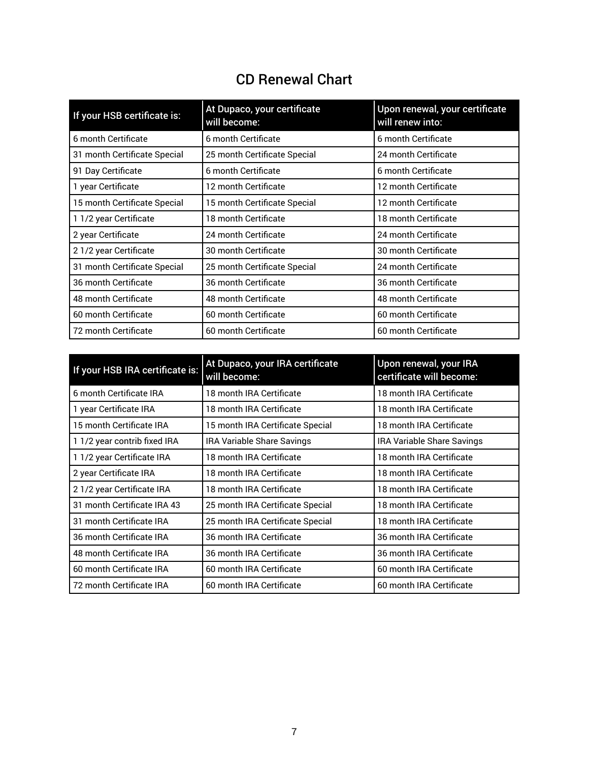# CD Renewal Chart

<span id="page-6-0"></span>

| If your HSB certificate is:  | At Dupaco, your certificate<br>will become: | Upon renewal, your certificate<br>will renew into: |
|------------------------------|---------------------------------------------|----------------------------------------------------|
| 6 month Certificate          | 6 month Certificate                         | 6 month Certificate                                |
| 31 month Certificate Special | 25 month Certificate Special                | 24 month Certificate                               |
| 91 Day Certificate           | 6 month Certificate                         | 6 month Certificate                                |
| 1 year Certificate           | 12 month Certificate                        | 12 month Certificate                               |
| 15 month Certificate Special | 15 month Certificate Special                | 12 month Certificate                               |
| 1 1/2 year Certificate       | 18 month Certificate                        | 18 month Certificate                               |
| 2 year Certificate           | 24 month Certificate                        | 24 month Certificate                               |
| 2 1/2 year Certificate       | 30 month Certificate                        | 30 month Certificate                               |
| 31 month Certificate Special | 25 month Certificate Special                | 24 month Certificate                               |
| 36 month Certificate         | 36 month Certificate                        | 36 month Certificate                               |
| 48 month Certificate         | <b>48 month Certificate</b>                 | 48 month Certificate                               |
| 60 month Certificate         | 60 month Certificate                        | 60 month Certificate                               |
| 72 month Certificate         | 60 month Certificate                        | 60 month Certificate                               |

| If your HSB IRA certificate is: | At Dupaco, your IRA certificate<br>will become: | Upon renewal, your IRA<br>certificate will become: |
|---------------------------------|-------------------------------------------------|----------------------------------------------------|
| 6 month Certificate IRA         | 18 month IRA Certificate                        | 18 month IRA Certificate                           |
| 1 year Certificate IRA          | 18 month IRA Certificate                        | 18 month IRA Certificate                           |
| 15 month Certificate IRA        | 15 month IRA Certificate Special                | 18 month IRA Certificate                           |
| 1 1/2 year contrib fixed IRA    | IRA Variable Share Savings                      | IRA Variable Share Savings                         |
| 1 1/2 year Certificate IRA      | 18 month IRA Certificate                        | 18 month IRA Certificate                           |
| 2 year Certificate IRA          | 18 month IRA Certificate                        | 18 month IRA Certificate                           |
| 21/2 year Certificate IRA       | 18 month IRA Certificate                        | 18 month IRA Certificate                           |
| 31 month Certificate IRA 43     | 25 month IRA Certificate Special                | 18 month IRA Certificate                           |
| 31 month Certificate IRA        | 25 month IRA Certificate Special                | 18 month IRA Certificate                           |
| 36 month Certificate IRA        | 36 month IRA Certificate                        | 36 month IRA Certificate                           |
| 48 month Certificate IRA        | 36 month IRA Certificate                        | 36 month IRA Certificate                           |
| 60 month Certificate IRA        | 60 month IRA Certificate                        | 60 month IRA Certificate                           |
| 72 month Certificate IRA        | 60 month IRA Certificate                        | 60 month IRA Certificate                           |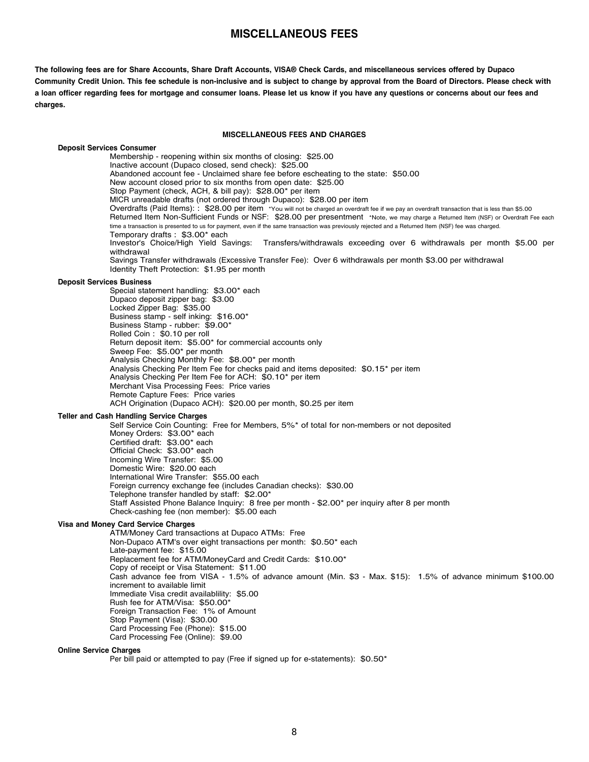### **MISCELLANEOUS FEES**

<span id="page-7-0"></span>The following fees are for Share Accounts, Share Draft Accounts, VISA® Check Cards, and miscellaneous services offered by Dupaco Community Credit Union. This fee schedule is non-inclusive and is subject to change by approval from the Board of Directors. Please check with a loan officer regarding fees for mortgage and consumer loans. Please let us know if you have any questions or concerns about our fees and **charges.**

### **MISCELLANEOUS FEES AND CHARGES**

**Deposit Services Consumer** Membership - reopening within six months of closing: \$25.00 Inactive account (Dupaco closed, send check): \$25.00 Abandoned account fee - Unclaimed share fee before escheating to the state: \$50.00 New account closed prior to six months from open date: \$25.00 Stop Payment (check, ACH, & bill pay): \$28.00\* per item MICR unreadable drafts (not ordered through Dupaco): \$28.00 per item Overdrafts (Paid Items): : \$28.00 per item \*You will not be charged an overdraft fee if we pay an overdraft transaction that is less than \$5.00 Returned Item Non-Sufficient Funds or NSF: \$28.00 per presentment \*Note, we may charge <sup>a</sup> Returned Item (NSF) or Overdraft Fee each time a transaction is presented to us for payment, even if the same transaction was previously rejected and a Returned Item (NSF) fee was charged. Temporary drafts : \$3.00\* each Investor's Choice/High Yield Savings: Transfers/withdrawals exceeding over 6 withdrawals per month \$5.00 per withdrawal Savings Transfer withdrawals (Excessive Transfer Fee): Over 6 withdrawals per month \$3.00 per withdrawal Identity Theft Protection: \$1.95 per month **Deposit Services Business** Special statement handling: \$3.00\* each Dupaco deposit zipper bag: \$3.00 Locked Zipper Bag: \$35.00 Business stamp - self inking: \$16.00\* Business Stamp - rubber: \$9.00\* Rolled Coin : \$0.10 per roll Return deposit item: \$5.00\* for commercial accounts only Sweep Fee: \$5.00\* per month Analysis Checking Monthly Fee: \$8.00\* per month Analysis Checking Per Item Fee for checks paid and items deposited: \$0.15\* per item Analysis Checking Per Item Fee for ACH: \$0.10\* per item Merchant Visa Processing Fees: Price varies Remote Capture Fees: Price varies ACH Origination (Dupaco ACH): \$20.00 per month, \$0.25 per item **Teller and Cash Handling Service Charges** Self Service Coin Counting: Free for Members, 5%\* of total for non-members or not deposited Money Orders: \$3.00\* each Certified draft: \$3.00\* each Official Check: \$3.00\* each Incoming Wire Transfer: \$5.00 Domestic Wire: \$20.00 each International Wire Transfer: \$55.00 each Foreign currency exchange fee (includes Canadian checks): \$30.00 Telephone transfer handled by staff: \$2.00\* Staff Assisted Phone Balance Inquiry: 8 free per month - \$2.00\* per inquiry after 8 per month Check-cashing fee (non member): \$5.00 each **Visa and Money Card Service Charges** ATM/Money Card transactions at Dupaco ATMs: Free Non-Dupaco ATM's over eight transactions per month: \$0.50\* each Late-payment fee: \$15.00 Replacement fee for ATM/MoneyCard and Credit Cards: \$10.00\* Copy of receipt or Visa Statement: \$11.00 Cash advance fee from VISA - 1.5% of advance amount (Min. \$3 - Max. \$15): 1.5% of advance minimum \$100.00 increment to available limit Immediate Visa credit availablility: \$5.00 Rush fee for ATM/Visa: \$50.00\* Foreign Transaction Fee: 1% of Amount Stop Payment (Visa): \$30.00 Card Processing Fee (Phone): \$15.00 Card Processing Fee (Online): \$9.00

### **Online Service Charges**

Per bill paid or attempted to pay (Free if signed up for e-statements): \$0.50\*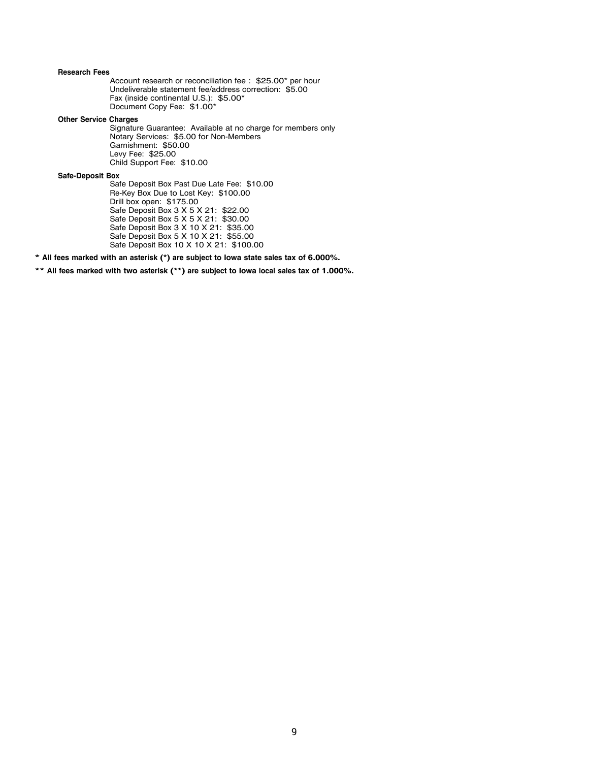### **Research Fees**

Account research or reconciliation fee : \$25.00\* per hour Undeliverable statement fee/address correction: \$5.00 Fax (inside continental U.S.): \$5.00\* Document Copy Fee: \$1.00\*

**Other Service Charges**

Signature Guarantee: Available at no charge for members only Notary Services: \$5.00 for Non-Members Garnishment: \$50.00 Levy Fee: \$25.00 Child Support Fee: \$10.00

**Safe-Deposit Box**

Safe Deposit Box Past Due Late Fee: \$10.00 Re-Key Box Due to Lost Key: \$100.00 Drill box open: \$175.00 Safe Deposit Box 3 X 5 X 21: \$22.00 Safe Deposit Box 5 X 5 X 21: \$30.00 Safe Deposit Box 3 X 10 X 21: \$35.00 Safe Deposit Box 5 X 10 X 21: \$55.00 Safe Deposit Box 10 X 10 X 21: \$100.00

**\* All fees marked with an asterisk (\*) are subject to Iowa state sales tax of 6.000%.**

**\*\* All fees marked with two asterisk (\*\*) are subject to Iowa local sales tax of 1.000%.**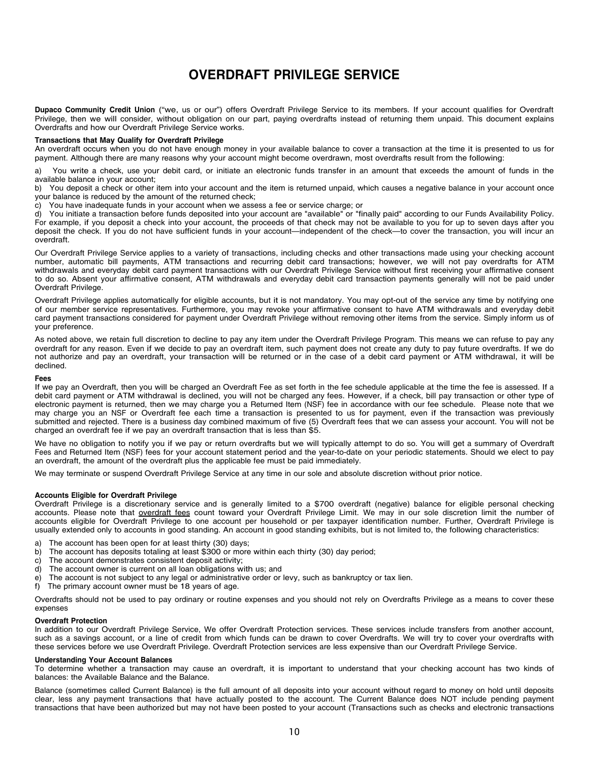# **OVERDRAFT PRIVILEGE SERVICE Dubuque, IA 52002**

<span id="page-9-0"></span>**Ilege Service** Dupaco Community Credit Union ("we, us or our") offers Overdraft Privilege Service to its members. If your account qualifies for Overdraft Privilege, then we will consider, without obligation on our part, paying overdrafts instead of returning them unpaid. This document explains Overdrafts and how our Overdraft Privilege Service works.

### **Transactions that May Qualify for Overdraft Privilege**

payment. Although there are many reasons why your account might become overdrawn, most overdrafts result from the following: An overdraft occurs when you do not have enough money in your available balance to cover a transaction at the time it is presented to us for

a) You write a check, use your debit card, or initiate an electronic funds transfer in an amount that exceeds the amount of funds in the available balance in your account; with a straige of returning them unpaid. This document explains in your account;

b) You deposit a check or other item into your account and the item is returned unpaid, which causes a negative balance in your account once your balance is reduced by the amount of the returned check;

**Transactions that May Qualify for Overdraft Privilege** c) You have inadequate funds in your account when we assess a fee or service charge; or

c) Tou have inadequate funds in your account when we assess a fee or service charge; or<br>d) You initiate a transaction before funds deposited into your account are "available" or "finally paid" according to our Funds Availa a) Tod inhidie a transaction before funds deposited into your account are available of inflang paid according to our Funds Availability Policy.<br>For example, if you deposit a check into your account, the proceeds of that ch deposit the check. If you do not have sufficient funds in your account—independent of the check—to cover the transaction, you will incur an<br>overdraft. overdraft.

Our Overdraft Privilege Service applies to a variety of transactions, including checks and other transactions made using your checking account Our Overdraft Frivilege Service applies to a variety of transactions, including checks and other transactions made using your checking account<br>number, automatic bill payments, ATM transactions and recurring debit card tran number, adiomatic bili payments, ATM transactions and recurring debit card transactions, nowever, we will not pay overdraits for ATM<br>withdrawals and everyday debit card payment transactions with our Overdraft Privilege Ser with diate and every depute and payment transactions with our Overdal Finally paid the without instituted into the policy paid independent and into the policy paid independent of the policy. The state of the policy policy to do so. Absent your affirmative consent, ATM withdrawals and everyday debit card transaction payments generally will not be paid under<br>Overdraft Priviloge deposit the check of the check—to not have sufficient funds in your account—independent of the transaction, you will include the transaction, you will include the transaction, you will include the transaction, you will inc Overdraft Privilege.

Overdraft Privilege applies automatically for eligible accounts, but it is not mandatory. You may opt-out of the service any time by notifying one Our Overdraft Privilege Service applies to a variety of transactions, including checks and other transactions made using your checking account card payment transactions considered for payment under Overdraft Privilege without removing other items from the service. Simply inform us of with dependence over the payment transactions with our Overdraft Privilege Service with our Overdraft Privilege Service with  $\alpha$ of our member service representatives. Furthermore, you may revoke your affirmative consent to have ATM withdrawals and everyday debit your preference.

As noted above, we retain full discretion to decline to pay any item under the Overdraft Privilege Program. This means we can refuse to pay any overdraft for any reason. Even if we decide to pay an overdraft item, such payment does not create any duty to pay future overdrafts. If we do not authorize and pay an overdraft, your transaction will be returned or in the case of a debit card payment or ATM withdrawal, it will be<br>declined  $\alpha$ ecurices. Furthermore, you may revolut to have  $\alpha$ declined.

### **Fees**

card payment transactions considered for payment under Overdraft Privilege without removing other items from the service. Simply inform us of If we pay an Overdraft, then you will be charged an Overdraft Fee as set forth in the fee schedule applicable at the time the fee is assessed. If a debit card payment of ATM withdrawal is decimed, you will not be charged any rees. However, if a crieck, bill pay transaction of other type or<br>electronic payment is returned, then we may charge you a Returned Item (NSF) fe electronic payment is returned, then we may charge you a neturned hem (NSP) lee in accordance with our lee schedule. Please note that we<br>may charge you an NSF or Overdraft fee each time a transaction is presented to us for may charge you an NSF or Overdran lee each lime a transaction is presented to us for payment, even if the transaction was previously<br>submitted and rejected. There is a business day combined maximum of five (5) Overdraft fe submitted and rejected. There is a business day combined maximum of live (5)<br>charged an overdraft fee if we pay an overdraft transaction that is less than \$5. debit card payment or ATM withdrawal is declined, you will not be charged any fees. However, if a check, bill pay transaction or other type of

**Fees** We have no obligation to notify you if we pay or return overdrafts but we will typically attempt to do so. You will get a summary of Overdraft we have no obligation to holliy you if we pay or return overuralis but we will typically attempt to do so. You will get a summary of Overuran<br>Fees and Returned Item (NSF) fees for your account statement period and the year debit card payment of the payment of the control of the charged and the year-to-date on your penduct statements. Should we elect to pay the charged and the charged and the check of the condition of the condition of the con an overdraft, the amount of the overdraft plus the applicable fee must be paid immediately.

We may terminate or suspend Overdraft Privilege Service at any time in our sole and absolute discretion without prior notice.

## charged an overdraft fee if we pay an overdraft transaction that is less than \$5. **Accounts Eligible for Overdraft Privilege**

Overdraft Privilege is a discretionary service and is generally limited to a \$700 overdraft (negative) balance for eligible personal checking accounts. Please note that <u>overdraft fees</u> count toward your Overdraft Privilege Limit. We may in our sole discretion limit the number of accounts eligible for Overdraft Privilege to one account per household or per taxpayer identification number. Further, Overdraft Privilege is usually extended only to accounts in good standing. An account in good standing exhibits, but is not limited to, the following characteristics:

- a) The account has been open for at least thirty (30) days;<br>b) The account has deposits totaling at least \$300 or more
- b) The account has deposits totaling at least  $$300$  or more within each thirty (30) day period;<br>c) The account demonstrates consistent deposit activity:
- **Account in the account demonstrates consistent deposit activity;**
- c) The account demonsitates consistent deposit activity,<br>d) The account owner is current on all loan obligations with us; and
- account while the countries of the count of the overlap in our operations. While the number of the number of the number of the number of the number of the number of the number of the number of the number of the number of t e) The account is not subject to any legal or administrative order or levy, such as bankruptcy or tax lien.<br>f) The primary account owner must be 18 years of age
- f) The primary account owner must be 18 years of age.

Overdrafts should not be used to pay ordinary or routine expenses and you should not rely on Overdrafts Privilege as a means to cover these<br>cynonees  $\mathsf{exp}(\mathsf{max}(\mathsf{max}(\mathsf{max}(\mathsf{max}(\mathsf{max}(\mathsf{max}(\mathsf{max}(\mathsf{max}(\mathsf{max}(\mathsf{max}(\mathsf{max}(\mathsf{max}(\mathsf{max}(\mathsf{max}(\mathsf{max}(\mathsf{max}(\mathsf{max}(\mathsf{max}(\mathsf{max}(\mathsf{max}(\mathsf{max}(\mathsf{max}(\mathsf{max}(\mathsf{max}(\mathsf{max}(\mathsf{max}(\mathsf{max}(\mathsf{max}(\mathsf{max}(\mathsf{max}(\mathsf{max}(\mathsf{max}(\mathsf{max}(\mathsf{max}(\mathsf{max}(\mathsf{$ expenses

### **C Overdraft Protection**

In addition to our Overdraft Privilege Service, We offer Overdraft Protection services. These services include transfers from another account, such as a savings account, or a line of credit from which funds can be drawn to cover Overdrafts. We will try to cover your overdrafts with these services before we use Overdraft Privilege. Overdraft Protection services are less expensive than our Overdraft Privilege Service.

### Overdrafts should not be used to pay ordinary or routine expenses and you should not rely on Overdrafts Privilege as a means to cover these **Understanding Your Account Balances**

To determine whether a transaction may cause an overdraft, it is important to understand that your checking account has two kinds of **Overdraft Protection** balances: the Available Balance and the Balance.

Balance (sometimes called Current Balance) is the full amount of all deposits into your account without regard to money on hold until deposits clear, less any payment transactions that have actually posted to the account. The Current Balance does NOT include pending payment transactions that have been authorized but may not have been posted to your account (Transactions such as checks and electronic transactions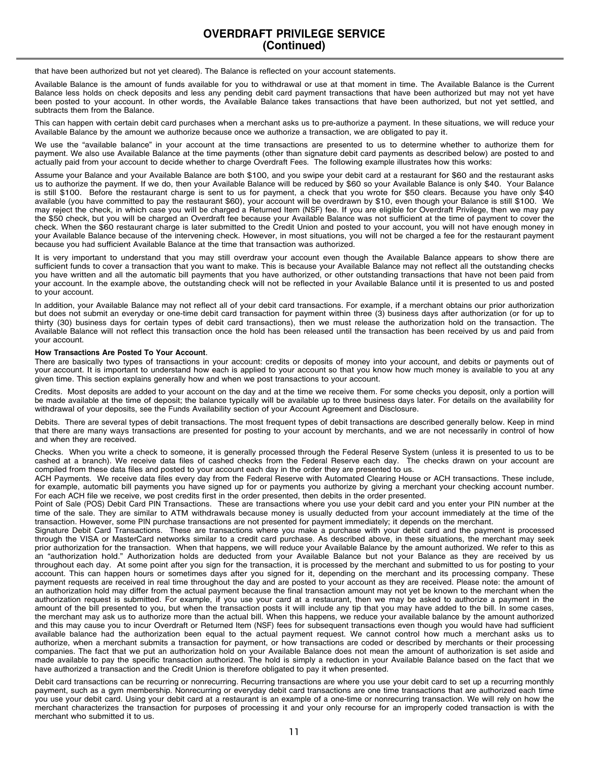that have been authorized but not yet cleared). The Balance is reflected on your account statements.

Available Balance is the amount of funds available for you to withdrawal or use at that moment in time. The Available Balance is the Current Balance less holds on check deposits and less any pending debit card payment transactions that have been authorized but may not yet have been posted to your account. In other words, the Available Balance takes transactions that have been authorized, but not yet settled, and subtracts them from the Balance.

This can happen with certain debit card purchases when a merchant asks us to pre-authorize a payment. In these situations, we will reduce your Available Balance by the amount we authorize because once we authorize a transaction, we are obligated to pay it.

We use the "available balance" in your account at the time transactions are presented to us to determine whether to authorize them for payment. We also use Available Balance at the time payments (other than signature debit card payments as described below) are posted to and actually paid from your account to decide whether to charge Overdraft Fees. The following example illustrates how this works:

Assume your Balance and your Available Balance are both \$100, and you swipe your debit card at a restaurant for \$60 and the restaurant asks us to authorize the payment. If we do, then your Available Balance will be reduced by \$60 so your Available Balance is only \$40. Your Balance is still \$100. Before the restaurant charge is sent to us for payment, a check that you wrote for \$50 clears. Because you have only \$40 available (you have committed to pay the restaurant \$60), your account will be overdrawn by \$10, even though your Balance is still \$100. We may reject the check, in which case you will be charged a Returned Item (NSF) fee. If you are eligible for Overdraft Privilege, then we may pay the \$50 check, but you will be charged an Overdraft fee because your Available Balance was not sufficient at the time of payment to cover the check. When the \$60 restaurant charge is later submitted to the Credit Union and posted to your account, you will not have enough money in your Available Balance because of the intervening check. However, in most situations, you will not be charged a fee for the restaurant payment because you had sufficient Available Balance at the time that transaction was authorized.

It is very important to understand that you may still overdraw your account even though the Available Balance appears to show there are sufficient funds to cover a transaction that you want to make. This is because your Available Balance may not reflect all the outstanding checks you have written and all the automatic bill payments that you have authorized, or other outstanding transactions that have not been paid from your account. In the example above, the outstanding check will not be reflected in your Available Balance until it is presented to us and posted to your account.

In addition, your Available Balance may not reflect all of your debit card transactions. For example, if a merchant obtains our prior authorization but does not submit an everyday or one-time debit card transaction for payment within three (3) business days after authorization (or for up to thirty (30) business days for certain types of debit card transactions), then we must release the authorization hold on the transaction. The Available Balance will not reflect this transaction once the hold has been released until the transaction has been received by us and paid from your account.

### **How Transactions Are Posted To Your Account**.

There are basically two types of transactions in your account: credits or deposits of money into your account, and debits or payments out of your account. It is important to understand how each is applied to your account so that you know how much money is available to you at any given time. This section explains generally how and when we post transactions to your account.

Credits. Most deposits are added to your account on the day and at the time we receive them. For some checks you deposit, only a portion will be made available at the time of deposit; the balance typically will be available up to three business days later. For details on the availability for withdrawal of your deposits, see the Funds Availability section of your Account Agreement and Disclosure.

Debits. There are several types of debit transactions. The most frequent types of debit transactions are described generally below. Keep in mind that there are many ways transactions are presented for posting to your account by merchants, and we are not necessarily in control of how and when they are received.

Checks. When you write a check to someone, it is generally processed through the Federal Reserve System (unless it is presented to us to be cashed at a branch). We receive data files of cashed checks from the Federal Reserve each day. The checks drawn on your account are compiled from these data files and posted to your account each day in the order they are presented to us.

ACH Payments. We receive data files every day from the Federal Reserve with Automated Clearing House or ACH transactions. These include, for example, automatic bill payments you have signed up for or payments you authorize by giving a merchant your checking account number. For each ACH file we receive, we post credits first in the order presented, then debits in the order presented.

Point of Sale (POS) Debit Card PIN Transactions. These are transactions where you use your debit card and you enter your PIN number at the time of the sale. They are similar to ATM withdrawals because money is usually deducted from your account immediately at the time of the transaction. However, some PIN purchase transactions are not presented for payment immediately; it depends on the merchant.

Signature Debit Card Transactions. These are transactions where you make a purchase with your debit card and the payment is processed through the VISA or MasterCard networks similar to a credit card purchase. As described above, in these situations, the merchant may seek prior authorization for the transaction. When that happens, we will reduce your Available Balance by the amount authorized. We refer to this as an "authorization hold." Authorization holds are deducted from your Available Balance but not your Balance as they are received by us throughout each day. At some point after you sign for the transaction, it is processed by the merchant and submitted to us for posting to your account. This can happen hours or sometimes days after you signed for it, depending on the merchant and its processing company. These payment requests are received in real time throughout the day and are posted to your account as they are received. Please note: the amount of an authorization hold may differ from the actual payment because the final transaction amount may not yet be known to the merchant when the authorization request is submitted. For example, if you use your card at a restaurant, then we may be asked to authorize a payment in the amount of the bill presented to you, but when the transaction posts it will include any tip that you may have added to the bill. In some cases, the merchant may ask us to authorize more than the actual bill. When this happens, we reduce your available balance by the amount authorized and this may cause you to incur Overdraft or Returned Item (NSF) fees for subsequent transactions even though you would have had sufficient available balance had the authorization been equal to the actual payment request. We cannot control how much a merchant asks us to authorize, when a merchant submits a transaction for payment, or how transactions are coded or described by merchants or their processing companies. The fact that we put an authorization hold on your Available Balance does not mean the amount of authorization is set aside and made available to pay the specific transaction authorized. The hold is simply a reduction in your Available Balance based on the fact that we have authorized a transaction and the Credit Union is therefore obligated to pay it when presented.

Debit card transactions can be recurring or nonrecurring. Recurring transactions are where you use your debit card to set up a recurring monthly payment, such as a gym membership. Nonrecurring or everyday debit card transactions are one time transactions that are authorized each time you use your debit card. Using your debit card at a restaurant is an example of a one-time or nonrecurring transaction. We will rely on how the merchant characterizes the transaction for purposes of processing it and your only recourse for an improperly coded transaction is with the merchant who submitted it to us.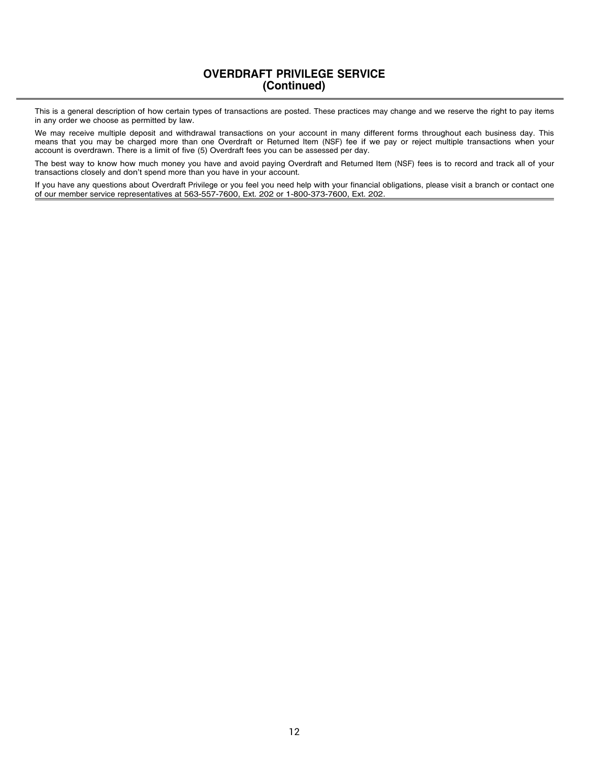### **OVERDRAFT PRIVILEGE SERVICE (Continued) Page 3**

This is a general description of how certain types of transactions are posted. These practices may change and we reserve the right to pay items in any order we choose as permitted by law.

We may receive multiple deposit and withdrawal transactions on your account in many different forms throughout each business day. This means that you may be charged more than one Overdraft or Returned Item (NSF) fee if we pay or reject multiple transactions when your account is overdrawn. There is a limit of five (5) Overdraft fees you can be assessed per day.

The best way to know how much money you have and avoid paying Overdraft and Returned Item (NSF) fees is to record and track all of your transactions closely and don't spend more than you have in your account.

If you have any questions about Overdraft Privilege or you feel you need help with your financial obligations, please visit a branch or contact one of our member service representatives at 563-557-7600, Ext. 202 or 1-800-373-7600, Ext. 202.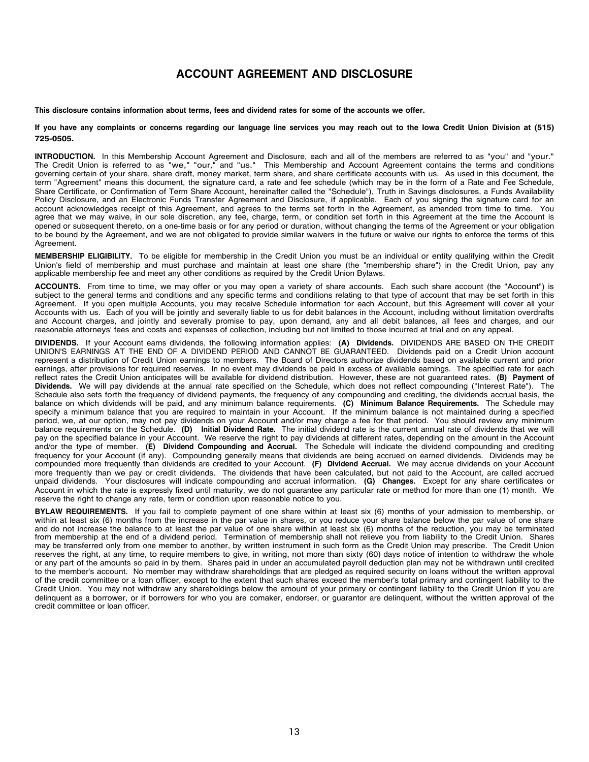## <span id="page-12-0"></span>**Balance Information:** We use the daily balance method to calculate the dividends on the account. This method applies a daily periodic rate to **ACCOUNT AGREEMENT AND DISCLOSURE**

This disclosure southing information shout towns. *foco and dividend when fou some of the secounts we offer* This disclosure contains information about terms, fees and dividend rates for some of the accounts we offer.

debit card or similar or sensors resulting our longuese line semines you may reach out to the lowe Credit Union Division at (E15) If you have any complaints or concerns regarding our language line services you may reach out to the Iowa Credit Union Division at (515) **725-0505.**

**INTRODUCTION.** In this Membership Account Agreement and Disclosure, each and all of the members are referred to as "you" and "your." The Credit Union is referred to as "we," "our," and "us." This Membership and Account Agreement contains the terms and conditions governing certain of your share, share draft, money market, term share, and share certificate accounts with us. As used in this document, the term "Agreement" means this document, the signature card, a rate and fee schedule (which may be in the form of a Rate and Fee Schedule, Share Certificate, or Confirmation of Term Share Account, hereinafter called the "Schedule"), Truth in Savings disclosures, a Funds Availability Policy Disclosure, and an Electronic Funds Transfer Agreement and Disclosure, if applicable. Each of you signing the signature card for an account acknowledges receipt of this Agreement, and agrees to the terms set forth in the Agreement, as amended from time to time. You agree that we may waive, in our sole discretion, any fee, charge, term, or condition set forth in this Agreement at the time the Account is opened or subsequent thereto, on a one-time basis or for any period or duration, without changing the terms of the Agreement or your obligation to be bound by the Agreement, and we are not obligated to provide similar waivers in the future or waive our rights to enforce the terms of this Agreement. dividend rate on the account the account of dividend to provide binning waivers in the rature on wave our rights to emblook including or this

Agreement.<br>**MEMBERSHIP ELIGIBILITY**. To be eligible for membership in the Credit Union you must be an individual or entity qualifying within the Credit Union's field of membership and must purchase and maintain at least one share (the "membership share") in the Credit Union, pay any applicable membership fee and meet any other conditions as required by the Credit Union Bylaws.

applicable incriberemptice and meet any other conditions as required by the erectional bytaws.<br>ACCOUNTS. From time to time, we may offer or you may open a variety of share accounts. Each such share account (the "Account") subject to the general terms and conditions and any specific terms and conditions relating to that type of account that may be set forth in this Agreement. If you open multiple Accounts, you may receive Schedule information for each Account, but this Agreement will cover all your Accounts with us. Each of you will be jointly and severally liable to us for debit balances in the Account, including without limitation overdrafts and Account charges, and jointly and severally promise to pay, upon demand, any and all debit balances, all fees and charges, and our reasonable attorneys' fees and costs and expenses of collection, including but not limited to those incurred at trial and on any appeal.

**DIVIDENDS.** If your Account earns dividends, the following information applies: **(A) Dividends.** DIVIDENDS ARE BASED ON THE CREDIT UNION'S EARNINGS AT THE END OF A DIVIDEND PERIOD AND CANNOT BE GUARANTEED. Dividends paid on a Credit Union account represent a distribution of Credit Union earnings to members. The Board of Directors authorize dividends based on available current and prior earnings, after provisions for required reserves. In no event may dividends be paid in excess of available earnings. The specified rate for each reflect rates the Credit Union anticipates will be available for dividend distribution. However, these are not guaranteed rates. (B) Payment of Dividends. We will pay dividends at the annual rate specified on the Schedule, which does not reflect compounding ("Interest Rate"). The Schedule also sets forth the frequency of dividend payments, the frequency of any compounding and crediting, the dividends accrual basis, the balance on which dividends will be paid, and any minimum balance requirements. (C) Minimum Balance Requirements. The Schedule may specify a minimum balance that you are required to maintain balance requirements. (b) minimum balance requirements. The schedule may period, we, at our option, may not pay dividends on your Account and/or may charge a fee for that period. You should review any minimum balance requirements on the Schedule. (D) Initial Dividend Rate. The initial dividend rate is the current annual rate of dividends that we will pay on the specified balance in your Account. We reserve the right to pay dividends at different rates, depending on the amount in the Account and/or the type of member. **(E) Dividend Compounding and Accrual.** The Schedule will indicate the dividend compounding and crediting frequency for your Account (if any). Compounding generally means that dividends are being accrued on earned dividends. Dividends may be compounded more frequently than dividends are credited to your Account. **(F) Dividend Accrual.** We may accrue dividends on your Account Agreement. more frequently than we pay or credit dividends. The dividends that have been calculated, but not paid to the Account, are called accrued unpaid dividends. Your disclosures will indicate compounding and accrual information. (G) Changes. Except for any share certificates or Account in which the rate is expressly fixed until maturity, we do not guarantee any particular rate or method for more than one (1) month. We reserve the right to change any rate, term or condition upon reasonable notice to you. DIVIDENDS If your Account earns dividends, the following information applies: (A) Dividends. DIVIDENDS ARE BASED ON THE CREDIT BIMBENDS: in your Account came annual messenger increming in an Application application.  $\mu$ opened or subsequent there is  $\mu$  or  $\mu$  or  $\mu$  or  $\mu$  or  $\mu$  and  $\mu$  or  $\mu$  and  $\mu$  and  $\mu$  and  $\mu$  and  $\mu$  and  $\mu$  and  $\mu$  and  $\mu$  and  $\mu$  and  $\mu$  and  $\mu$  and  $\mu$  and  $\mu$  and  $\mu$  and  $\mu$  and  $\mu$  $t_{\text{F6}}$  obligated to be bound by the  $\epsilon$  and  $\epsilon$  and  $\epsilon$  are not obtained to provide the similar measurement of the future of the future of the terms of the terms of the terms of the terms of the terms of this terms

or any part of the amounts so paid in by them. Shares paid in under an accumulated payroll deduction plan may not be withdrawn until credited BYLAW REQUIREMENTS. If you fail to complete payment of one share within at least six (6) months of your admission to membership, or within at least six (6) months from the increase in the par value in shares, or you reduce your share balance below the par value of one share and do not increase the balance to at least the par value of one share within at least six (6) months of the reduction, you may be terminated from membership at the end of a dividend period. Termination of membership shall not relieve you from liability to the Credit Union. Shares may be transferred only from one member to another, by written instrument in such form as the Credit Union may prescribe. The Credit Union to the member's account. No member may withdraw shareholdings that are pledged as required security on loans without the written approval of the credit committee or a loan officer, except to the extent that such shares exceed the member's total primary and contingent liability to the Credit Union. You may not withdraw any shareholdings below the amount of your primary or contingent liability to the Credit Union if you are delinquent as a borrower, or if borrowers for who you are comaker, endorser, or guarantor are delinquent, without the written approval of the **Dividends at Schedule, on the annual rate of the annual rate secondary, englished at the annual rate interest approval or the credit committee or loan officer.** Schedule also sets forth the frequency of dividend payments, the frequency of any compounding and crediting, the dividends accrual basis, the reserves the right, at any time, to require members to give, in writing, not more than sixty (60) days notice of intention to withdraw the whole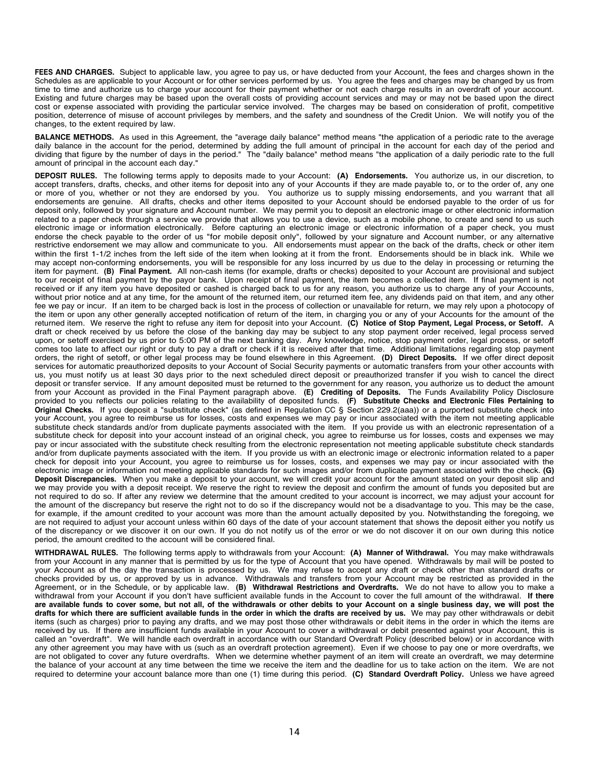**FEES AND CHARGES.** Subject to applicable law, you agree to pay us, or have deducted from your Account, the fees and charges shown in the Schedules as are applicable to your Account or for other services performed by us. You agree the fees and charges may be changed by us from time to time and authorize us to charge your account for their payment whether or not each charge results in an overdraft of your account. Existing and future charges may be based upon the overall costs of providing account services and may or may not be based upon the direct cost or expense associated with providing the particular service involved. The charges may be based on consideration of profit, competitive position, deterrence of misuse of account privileges by members, and the safety and soundness of the Credit Union. We will notify you of the changes, to the extent required by law.

**BALANCE METHODS.** As used in this Agreement, the "average daily balance" method means "the application of a periodic rate to the average daily balance in the account for the period, determined by adding the full amount of principal in the account for each day of the period and dividing that figure by the number of days in the period." The "daily balance" method means "the application of a daily periodic rate to the full amount of principal in the account each day."

**DEPOSIT RULES.** The following terms apply to deposits made to your Account: **(A) Endorsements.** You authorize us, in our discretion, to accept transfers, drafts, checks, and other items for deposit into any of your Accounts if they are made payable to, or to the order of, any one or more of you, whether or not they are endorsed by you. You authorize us to supply missing endorsements, and you warrant that all endorsements are genuine. All drafts, checks and other items deposited to your Account should be endorsed payable to the order of us for deposit only, followed by your signature and Account number. We may permit you to deposit an electronic image or other electronic information related to a paper check through a service we provide that allows you to use a device, such as a mobile phone, to create and send to us such electronic image or information electronically. Before capturing an electronic image or electronic information of a paper check, you must endorse the check payable to the order of us "for mobile deposit only", followed by your signature and Account number, or any alternative restrictive endorsement we may allow and communicate to you. All endorsements must appear on the back of the drafts, check or other item within the first 1-1/2 inches from the left side of the item when looking at it from the front. Endorsements should be in black ink. While we may accept non-conforming endorsements, you will be responsible for any loss incurred by us due to the delay in processing or returning the item for payment. **(B) Final Payment.** All non-cash items (for example, drafts or checks) deposited to your Account are provisional and subject to our receipt of final payment by the payor bank. Upon receipt of final payment, the item becomes a collected item. If final payment is not received or if any item you have deposited or cashed is charged back to us for any reason, you authorize us to charge any of your Accounts, without prior notice and at any time, for the amount of the returned item, our returned item fee, any dividends paid on that item, and any other fee we pay or incur. If an item to be charged back is lost in the process of collection or unavailable for return, we may rely upon a photocopy of the item or upon any other generally accepted notification of return of the item, in charging you or any of your Accounts for the amount of the returned item. We reserve the right to refuse any item for deposit into your Account. **(C) Notice of Stop Payment, Legal Process, or Setoff.** A draft or check received by us before the close of the banking day may be subject to any stop payment order received, legal process served upon, or setoff exercised by us prior to 5:00 PM of the next banking day. Any knowledge, notice, stop payment order, legal process, or setoff comes too late to affect our right or duty to pay a draft or check if it is received after that time. Additional limitations regarding stop payment orders, the right of setoff, or other legal process may be found elsewhere in this Agreement. **(D) Direct Deposits.** If we offer direct deposit services for automatic preauthorized deposits to your Account of Social Security payments or automatic transfers from your other accounts with us, you must notify us at least 30 days prior to the next scheduled direct deposit or preauthorized transfer if you wish to cancel the direct deposit or transfer service. If any amount deposited must be returned to the government for any reason, you authorize us to deduct the amount from your Account as provided in the Final Payment paragraph above. **(E) Crediting of Deposits.** The Funds Availability Policy Disclosure provided to you reflects our policies relating to the availability of deposited funds. **(F) Substitute Checks and Electronic Files Pertaining to Original Checks.** If you deposit a "substitute check" (as defined in Regulation CC § Section 229.2(aaa)) or a purported substitute check into your Account, you agree to reimburse us for losses, costs and expenses we may pay or incur associated with the item not meeting applicable substitute check standards and/or from duplicate payments associated with the item. If you provide us with an electronic representation of a substitute check for deposit into your account instead of an original check, you agree to reimburse us for losses, costs and expenses we may pay or incur associated with the substitute check resulting from the electronic representation not meeting applicable substitute check standards and/or from duplicate payments associated with the item. If you provide us with an electronic image or electronic information related to a paper check for deposit into your Account, you agree to reimburse us for losses, costs, and expenses we may pay or incur associated with the electronic image or information not meeting applicable standards for such images and/or from duplicate payment associated with the check. **(G) Deposit Discrepancies.** When you make a deposit to your account, we will credit your account for the amount stated on your deposit slip and we may provide you with a deposit receipt. We reserve the right to review the deposit and confirm the amount of funds you deposited but are not required to do so. If after any review we determine that the amount credited to your account is incorrect, we may adjust your account for the amount of the discrepancy but reserve the right not to do so if the discrepancy would not be a disadvantage to you. This may be the case, for example, if the amount credited to your account was more than the amount actually deposited by you. Notwithstanding the foregoing, we are not required to adjust your account unless within 60 days of the date of your account statement that shows the deposit either you notify us of the discrepancy or we discover it on our own. If you do not notify us of the error or we do not discover it on our own during this notice period, the amount credited to the account will be considered final.

**WITHDRAWAL RULES.** The following terms apply to withdrawals from your Account: **(A) Manner of Withdrawal.** You may make withdrawals from your Account in any manner that is permitted by us for the type of Account that you have opened. Withdrawals by mail will be posted to your Account as of the day the transaction is processed by us. We may refuse to accept any draft or check other than standard drafts or checks provided by us, or approved by us in advance. Withdrawals and transfers from your Account may be restricted as provided in the Agreement, or in the Schedule, or by applicable law. **(B) Withdrawal Restrictions and Overdrafts.** We do not have to allow you to make a withdrawal from your Account if you don't have sufficient available funds in the Account to cover the full amount of the withdrawal. **If there** are available funds to cover some, but not all, of the withdrawals or other debits to your Account on a single business day, we will post the drafts for which there are sufficient available funds in the order in which the drafts are received by us. We may pay other withdrawals or debit items (such as charges) prior to paying any drafts, and we may post those other withdrawals or debit items in the order in which the items are received by us. If there are insufficient funds available in your Account to cover a withdrawal or debit presented against your Account, this is called an "overdraft". We will handle each overdraft in accordance with our Standard Overdraft Policy (described below) or in accordance with any other agreement you may have with us (such as an overdraft protection agreement). Even if we choose to pay one or more overdrafts, we are not obligated to cover any future overdrafts. When we determine whether payment of an item will create an overdraft, we may determine the balance of your account at any time between the time we receive the item and the deadline for us to take action on the item. We are not required to determine your account balance more than one (1) time during this period. **(C) Standard Overdraft Policy.** Unless we have agreed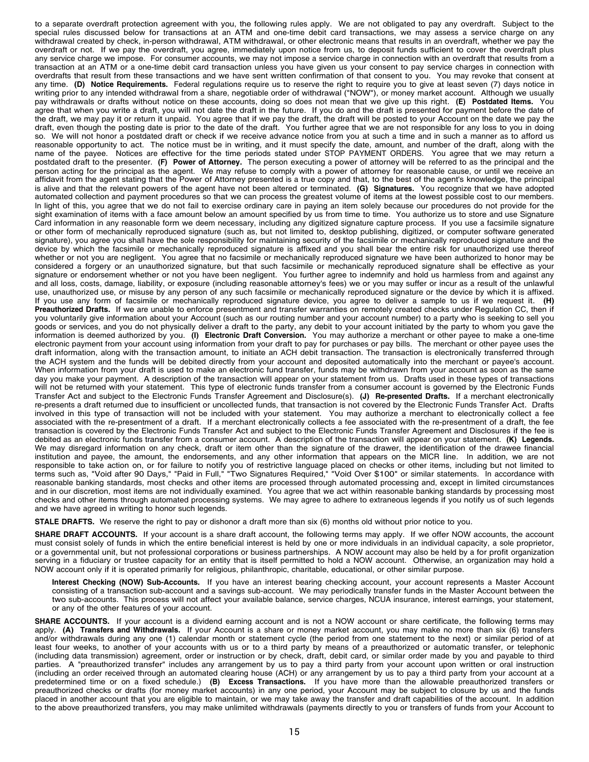to a separate overdraft protection agreement with you, the following rules apply. We are not obligated to pay any overdraft. Subject to the special rules discussed below for transactions at an ATM and one-time debit card transactions, we may assess a service charge on any withdrawal created by check, in-person withdrawal, ATM withdrawal, or other electronic means that results in an overdraft, whether we pay the overdraft or not. If we pay the overdraft, you agree, immediately upon notice from us, to deposit funds sufficient to cover the overdraft plus any service charge we impose. For consumer accounts, we may not impose a service charge in connection with an overdraft that results from a transaction at an ATM or a one-time debit card transaction unless you have given us your consent to pay service charges in connection with overdrafts that result from these transactions and we have sent written confirmation of that consent to you. You may revoke that consent at any time. **(D) Notice Requirements.** Federal regulations require us to reserve the right to require you to give at least seven (7) days notice in writing prior to any intended withdrawal from a share, negotiable order of withdrawal ("NOW"), or money market account. Although we usually pay withdrawals or drafts without notice on these accounts, doing so does not mean that we give up this right. **(E) Postdated Items.** You agree that when you write a draft, you will not date the draft in the future. If you do and the draft is presented for payment before the date of the draft, we may pay it or return it unpaid. You agree that if we pay the draft, the draft will be posted to your Account on the date we pay the draft, even though the posting date is prior to the date of the draft. You further agree that we are not responsible for any loss to you in doing so. We will not honor a postdated draft or check if we receive advance notice from you at such a time and in such a manner as to afford us reasonable opportunity to act. The notice must be in writing, and it must specify the date, amount, and number of the draft, along with the name of the payee. Notices are effective for the time periods stated under STOP PAYMENT ORDERS. You agree that we may return a postdated draft to the presenter. **(F) Power of Attorney.** The person executing a power of attorney will be referred to as the principal and the person acting for the principal as the agent. We may refuse to comply with a power of attorney for reasonable cause, or until we receive an affidavit from the agent stating that the Power of Attorney presented is a true copy and that, to the best of the agent's knowledge, the principal is alive and that the relevant powers of the agent have not been altered or terminated. **(G) Signatures.** You recognize that we have adopted automated collection and payment procedures so that we can process the greatest volume of items at the lowest possible cost to our members. In light of this, you agree that we do not fail to exercise ordinary care in paying an item solely because our procedures do not provide for the sight examination of items with a face amount below an amount specified by us from time to time. You authorize us to store and use Signature Card information in any reasonable form we deem necessary, including any digitized signature capture process. If you use a facsimile signature or other form of mechanically reproduced signature (such as, but not limited to, desktop publishing, digitized, or computer software generated signature), you agree you shall have the sole responsibility for maintaining security of the facsimile or mechanically reproduced signature and the device by which the facsimile or mechanically reproduced signature is affixed and you shall bear the entire risk for unauthorized use thereof whether or not you are negligent. You agree that no facsimile or mechanically reproduced signature we have been authorized to honor may be considered a forgery or an unauthorized signature, but that such facsimile or mechanically reproduced signature shall be effective as your signature or endorsement whether or not you have been negligent. You further agree to indemnify and hold us harmless from and against any and all loss, costs, damage, liability, or exposure (including reasonable attorney's fees) we or you may suffer or incur as a result of the unlawful use, unauthorized use, or misuse by any person of any such facsimile or mechanically reproduced signature or the device by which it is affixed. If you use any form of facsimile or mechanically reproduced signature device, you agree to deliver a sample to us if we request it. **(H) Preauthorized Drafts.** If we are unable to enforce presentment and transfer warranties on remotely created checks under Regulation CC, then if you voluntarily give information about your Account (such as our routing number and your account number) to a party who is seeking to sell you goods or services, and you do not physically deliver a draft to the party, any debit to your account initiated by the party to whom you gave the information is deemed authorized by you. **(I) Electronic Draft Conversion.** You may authorize a merchant or other payee to make a one-time electronic payment from your account using information from your draft to pay for purchases or pay bills. The merchant or other payee uses the draft information, along with the transaction amount, to initiate an ACH debit transaction. The transaction is electronically transferred through the ACH system and the funds will be debited directly from your account and deposited automatically into the merchant or payee's account. When information from your draft is used to make an electronic fund transfer, funds may be withdrawn from your account as soon as the same day you make your payment. A description of the transaction will appear on your statement from us. Drafts used in these types of transactions will not be returned with your statement. This type of electronic funds transfer from a consumer account is governed by the Electronic Funds Transfer Act and subject to the Electronic Funds Transfer Agreement and Disclosure(s). **(J) Re-presented Drafts.** If a merchant electronically re-presents a draft returned due to insufficient or uncollected funds, that transaction is not covered by the Electronic Funds Transfer Act. Drafts involved in this type of transaction will not be included with your statement. You may authorize a merchant to electronically collect a fee associated with the re-presentment of a draft. If a merchant electronically collects a fee associated with the re-presentment of a draft, the fee transaction is covered by the Electronic Funds Transfer Act and subject to the Electronic Funds Transfer Agreement and Disclosures if the fee is debited as an electronic funds transfer from a consumer account. A description of the transaction will appear on your statement. **(K) Legends.** We may disregard information on any check, draft or item other than the signature of the drawer, the identification of the drawee financial institution and payee, the amount, the endorsements, and any other information that appears on the MICR line. In addition, we are not responsible to take action on, or for failure to notify you of restrictive language placed on checks or other items, including but not limited to terms such as, "Void after 90 Days," "Paid in Full," "Two Signatures Required," "Void Over \$100" or similar statements. In accordance with reasonable banking standards, most checks and other items are processed through automated processing and, except in limited circumstances and in our discretion, most items are not individually examined. You agree that we act within reasonable banking standards by processing most checks and other items through automated processing systems. We may agree to adhere to extraneous legends if you notify us of such legends and we have agreed in writing to honor such legends.

**STALE DRAFTS.** We reserve the right to pay or dishonor a draft more than six (6) months old without prior notice to you.

**SHARE DRAFT ACCOUNTS.** If your account is a share draft account, the following terms may apply. If we offer NOW accounts, the account must consist solely of funds in which the entire beneficial interest is held by one or more individuals in an individual capacity, a sole proprietor, or a governmental unit, but not professional corporations or business partnerships. A NOW account may also be held by a for profit organization serving in a fiduciary or trustee capacity for an entity that is itself permitted to hold a NOW account. Otherwise, an organization may hold a NOW account only if it is operated primarily for religious, philanthropic, charitable, educational, or other similar purpose.

**Interest Checking (NOW) Sub-Accounts.** If you have an interest bearing checking account, your account represents a Master Account consisting of a transaction sub-account and a savings sub-account. We may periodically transfer funds in the Master Account between the two sub-accounts. This process will not affect your available balance, service charges, NCUA insurance, interest earnings, your statement, or any of the other features of your account.

**SHARE ACCOUNTS.** If your account is a dividend earning account and is not a NOW account or share certificate, the following terms may apply. **(A) Transfers and Withdrawals.** If your Account is a share or money market account, you may make no more than six (6) transfers and/or withdrawals during any one (1) calendar month or statement cycle (the period from one statement to the next) or similar period of at least four weeks, to another of your accounts with us or to a third party by means of a preauthorized or automatic transfer, or telephonic (including data transmission) agreement, order or instruction or by check, draft, debit card, or similar order made by you and payable to third parties. A "preauthorized transfer" includes any arrangement by us to pay a third party from your account upon written or oral instruction (including an order received through an automated clearing house (ACH) or any arrangement by us to pay a third party from your account at a predetermined time or on a fixed schedule.) **(B) Excess Transactions.** If you have more than the allowable preauthorized transfers or preauthorized checks or drafts (for money market accounts) in any one period, your Account may be subject to closure by us and the funds placed in another account that you are eligible to maintain, or we may take away the transfer and draft capabilities of the account. In addition to the above preauthorized transfers, you may make unlimited withdrawals (payments directly to you or transfers of funds from your Account to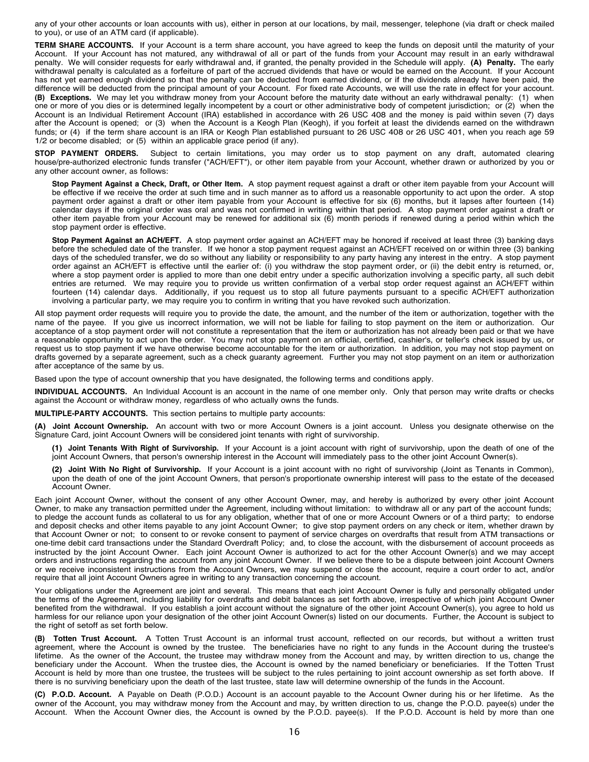any of your other accounts or loan accounts with us), either in person at our locations, by mail, messenger, telephone (via draft or check mailed to you), or use of an ATM card (if applicable).

**TERM SHARE ACCOUNTS.** If your Account is a term share account, you have agreed to keep the funds on deposit until the maturity of your Account. If your Account has not matured, any withdrawal of all or part of the funds from your Account may result in an early withdrawal penalty. We will consider requests for early withdrawal and, if granted, the penalty provided in the Schedule will apply. **(A) Penalty.** The early withdrawal penalty is calculated as a forfeiture of part of the accrued dividends that have or would be earned on the Account. If your Account has not yet earned enough dividend so that the penalty can be deducted from earned dividend, or if the dividends already have been paid, the difference will be deducted from the principal amount of your Account. For fixed rate Accounts, we will use the rate in effect for your account. **(B) Exceptions.** We may let you withdraw money from your Account before the maturity date without an early withdrawal penalty: (1) when one or more of you dies or is determined legally incompetent by a court or other administrative body of competent jurisdiction; or (2) when the Account is an Individual Retirement Account (IRA) established in accordance with 26 USC 408 and the money is paid within seven (7) days after the Account is opened; or (3) when the Account is a Keogh Plan (Keogh), if you forfeit at least the dividends earned on the withdrawn funds; or (4) if the term share account is an IRA or Keogh Plan established pursuant to 26 USC 408 or 26 USC 401, when you reach age 59 1/2 or become disabled; or (5) within an applicable grace period (if any).

**STOP PAYMENT ORDERS.** Subject to certain limitations, you may order us to stop payment on any draft, automated clearing house/pre-authorized electronic funds transfer ("ACH/EFT"), or other item payable from your Account, whether drawn or authorized by you or any other account owner, as follows:

**Stop Payment Against a Check, Draft, or Other Item.** A stop payment request against a draft or other item payable from your Account will be effective if we receive the order at such time and in such manner as to afford us a reasonable opportunity to act upon the order. A stop payment order against a draft or other item payable from your Account is effective for six (6) months, but it lapses after fourteen (14) calendar days if the original order was oral and was not confirmed in writing within that period. A stop payment order against a draft or other item payable from your Account may be renewed for additional six (6) month periods if renewed during a period within which the stop payment order is effective.

**Stop Payment Against an ACH/EFT.** A stop payment order against an ACH/EFT may be honored if received at least three (3) banking days before the scheduled date of the transfer. If we honor a stop payment request against an ACH/EFT received on or within three (3) banking days of the scheduled transfer, we do so without any liability or responsibility to any party having any interest in the entry. A stop payment order against an ACH/EFT is effective until the earlier of: (i) you withdraw the stop payment order, or (ii) the debit entry is returned, or, where a stop payment order is applied to more than one debit entry under a specific authorization involving a specific party, all such debit entries are returned. We may require you to provide us written confirmation of a verbal stop order request against an ACH/EFT within fourteen (14) calendar days. Additionally, if you request us to stop all future payments pursuant to a specific ACH/EFT authorization involving a particular party, we may require you to confirm in writing that you have revoked such authorization.

All stop payment order requests will require you to provide the date, the amount, and the number of the item or authorization, together with the name of the payee. If you give us incorrect information, we will not be liable for failing to stop payment on the item or authorization. Our acceptance of a stop payment order will not constitute a representation that the item or authorization has not already been paid or that we have a reasonable opportunity to act upon the order. You may not stop payment on an official, certified, cashier's, or teller's check issued by us, or request us to stop payment if we have otherwise become accountable for the item or authorization. In addition, you may not stop payment on drafts governed by a separate agreement, such as a check guaranty agreement. Further you may not stop payment on an item or authorization after acceptance of the same by us.

Based upon the type of account ownership that you have designated, the following terms and conditions apply.

**INDIVIDUAL ACCOUNTS.** An Individual Account is an account in the name of one member only. Only that person may write drafts or checks against the Account or withdraw money, regardless of who actually owns the funds.

**MULTIPLE-PARTY ACCOUNTS.** This section pertains to multiple party accounts:

**(A) Joint Account Ownership.** An account with two or more Account Owners is a joint account. Unless you designate otherwise on the Signature Card, joint Account Owners will be considered joint tenants with right of survivorship.

- **(1) Joint Tenants With Right of Survivorship.** If your Account is a joint account with right of survivorship, upon the death of one of the joint Account Owners, that person's ownership interest in the Account will immediately pass to the other joint Account Owner(s).
- **(2) Joint With No Right of Survivorship.** If your Account is a joint account with no right of survivorship (Joint as Tenants in Common), upon the death of one of the joint Account Owners, that person's proportionate ownership interest will pass to the estate of the deceased Account Owner.

Each joint Account Owner, without the consent of any other Account Owner, may, and hereby is authorized by every other joint Account Owner, to make any transaction permitted under the Agreement, including without limitation: to withdraw all or any part of the account funds; to pledge the account funds as collateral to us for any obligation, whether that of one or more Account Owners or of a third party; to endorse and deposit checks and other items payable to any joint Account Owner; to give stop payment orders on any check or item, whether drawn by that Account Owner or not; to consent to or revoke consent to payment of service charges on overdrafts that result from ATM transactions or one-time debit card transactions under the Standard Overdraft Policy; and, to close the account, with the disbursement of account proceeds as instructed by the joint Account Owner. Each joint Account Owner is authorized to act for the other Account Owner(s) and we may accept orders and instructions regarding the account from any joint Account Owner. If we believe there to be a dispute between joint Account Owners or we receive inconsistent instructions from the Account Owners, we may suspend or close the account, require a court order to act, and/or require that all joint Account Owners agree in writing to any transaction concerning the account.

Your obligations under the Agreement are joint and several. This means that each joint Account Owner is fully and personally obligated under the terms of the Agreement, including liability for overdrafts and debit balances as set forth above, irrespective of which joint Account Owner benefited from the withdrawal. If you establish a joint account without the signature of the other joint Account Owner(s), you agree to hold us harmless for our reliance upon your designation of the other joint Account Owner(s) listed on our documents. Further, the Account is subject to the right of setoff as set forth below.

**(B) Totten Trust Account.** A Totten Trust Account is an informal trust account, reflected on our records, but without a written trust agreement, where the Account is owned by the trustee. The beneficiaries have no right to any funds in the Account during the trustee's lifetime. As the owner of the Account, the trustee may withdraw money from the Account and may, by written direction to us, change the beneficiary under the Account. When the trustee dies, the Account is owned by the named beneficiary or beneficiaries. If the Totten Trust Account is held by more than one trustee, the trustees will be subject to the rules pertaining to joint account ownership as set forth above. If there is no surviving beneficiary upon the death of the last trustee, state law will determine ownership of the funds in the Account.

**(C) P.O.D. Account.** A Payable on Death (P.O.D.) Account is an account payable to the Account Owner during his or her lifetime. As the owner of the Account, you may withdraw money from the Account and may, by written direction to us, change the P.O.D. payee(s) under the Account. When the Account Owner dies, the Account is owned by the P.O.D. payee(s). If the P.O.D. Account is held by more than one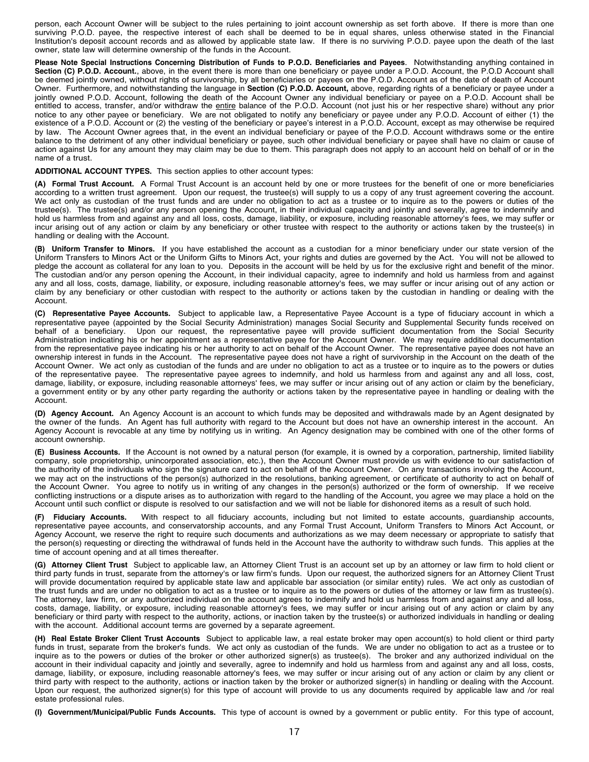person, each Account Owner will be subject to the rules pertaining to joint account ownership as set forth above. If there is more than one surviving P.O.D. payee, the respective interest of each shall be deemed to be in equal shares, unless otherwise stated in the Financial Institution's deposit account records and as allowed by applicable state law. If there is no surviving P.O.D. payee upon the death of the last owner, state law will determine ownership of the funds in the Account.

Please Note Special Instructions Concerning Distribution of Funds to P.O.D. Beneficiaries and Payees. Notwithstanding anything contained in **Section (C) P.O.D. Account.**, above, in the event there is more than one beneficiary or payee under a P.O.D. Account, the P.O.D Account shall be deemed jointly owned, without rights of survivorship, by all beneficiaries or payees on the P.O.D. Account as of the date of death of Account Owner. Furthermore, and notwithstanding the language in **Section (C) P.O.D. Account,** above, regarding rights of a beneficiary or payee under a jointly owned P.O.D. Account, following the death of the Account Owner any individual beneficiary or payee on a P.O.D. Account shall be entitled to access, transfer, and/or withdraw the entire balance of the P.O.D. Account (not just his or her respective share) without any prior notice to any other payee or beneficiary. We are not obligated to notify any beneficiary or payee under any P.O.D. Account of either (1) the existence of a P.O.D. Account or (2) the vesting of the beneficiary or payee's interest in a P.O.D. Account, except as may otherwise be required by law. The Account Owner agrees that, in the event an individual beneficiary or payee of the P.O.D. Account withdraws some or the entire balance to the detriment of any other individual beneficiary or payee, such other individual beneficiary or payee shall have no claim or cause of action against Us for any amount they may claim may be due to them. This paragraph does not apply to an account held on behalf of or in the name of a trust.

**ADDITIONAL ACCOUNT TYPES.** This section applies to other account types:

**(A) Formal Trust Account.** A Formal Trust Account is an account held by one or more trustees for the benefit of one or more beneficiaries according to a written trust agreement. Upon our request, the trustee(s) will supply to us a copy of any trust agreement covering the account. We act only as custodian of the trust funds and are under no obligation to act as a trustee or to inquire as to the powers or duties of the trustee(s). The trustee(s) and/or any person opening the Account, in their individual capacity and jointly and severally, agree to indemnify and hold us harmless from and against any and all loss, costs, damage, liability, or exposure, including reasonable attorney's fees, we may suffer or incur arising out of any action or claim by any beneficiary or other trustee with respect to the authority or actions taken by the trustee(s) in handling or dealing with the Account.

**(B) Uniform Transfer to Minors.** If you have established the account as a custodian for a minor beneficiary under our state version of the Uniform Transfers to Minors Act or the Uniform Gifts to Minors Act, your rights and duties are governed by the Act. You will not be allowed to pledge the account as collateral for any loan to you. Deposits in the account will be held by us for the exclusive right and benefit of the minor. The custodian and/or any person opening the Account, in their individual capacity, agree to indemnify and hold us harmless from and against any and all loss, costs, damage, liability, or exposure, including reasonable attorney's fees, we may suffer or incur arising out of any action or claim by any beneficiary or other custodian with respect to the authority or actions taken by the custodian in handling or dealing with the Account.

**(C) Representative Payee Accounts.** Subject to applicable law, a Representative Payee Account is a type of fiduciary account in which a representative payee (appointed by the Social Security Administration) manages Social Security and Supplemental Security funds received on behalf of a beneficiary. Upon our request, the representative payee will provide su Upon our request, the representative payee will provide sufficient documentation from the Social Security Administration indicating his or her appointment as a representative payee for the Account Owner. We may require additional documentation from the representative payee indicating his or her authority to act on behalf of the Account Owner. The representative payee does not have an ownership interest in funds in the Account. The representative payee does not have a right of survivorship in the Account on the death of the Account Owner. We act only as custodian of the funds and are under no obligation to act as a trustee or to inquire as to the powers or duties of the representative payee. The representative payee agrees to indemnify, and hold us harmless from and against any and all loss, cost, damage, liability, or exposure, including reasonable attorneys' fees, we may suffer or incur arising out of any action or claim by the beneficiary, a government entity or by any other party regarding the authority or actions taken by the representative payee in handling or dealing with the Account.

**(D) Agency Account.** An Agency Account is an account to which funds may be deposited and withdrawals made by an Agent designated by the owner of the funds. An Agent has full authority with regard to the Account but does not have an ownership interest in the account. An Agency Account is revocable at any time by notifying us in writing. An Agency designation may be combined with one of the other forms of account ownership.

**(E) Business Accounts.** If the Account is not owned by a natural person (for example, it is owned by a corporation, partnership, limited liability company, sole proprietorship, unincorporated association, etc.), then the Account Owner must provide us with evidence to our satisfaction of the authority of the individuals who sign the signature card to act on behalf of the Account Owner. On any transactions involving the Account, we may act on the instructions of the person(s) authorized in the resolutions, banking agreement, or certificate of authority to act on behalf of the Account Owner. You agree to notify us in writing of any changes in the person(s) authorized or the form of ownership. If we receive conflicting instructions or a dispute arises as to authorization with regard to the handling of the Account, you agree we may place a hold on the Account until such conflict or dispute is resolved to our satisfaction and we will not be liable for dishonored items as a result of such hold.

**(F) Fiduciary Accounts.** With respect to all fiduciary accounts, including but not limited to estate accounts, guardianship accounts, representative payee accounts, and conservatorship accounts, and any Formal Trust Account, Uniform Transfers to Minors Act Account, or Agency Account, we reserve the right to require such documents and authorizations as we may deem necessary or appropriate to satisfy that the person(s) requesting or directing the withdrawal of funds held in the Account have the authority to withdraw such funds. This applies at the time of account opening and at all times thereafter.

**(G) Attorney Client Trust** Subject to applicable law, an Attorney Client Trust is an account set up by an attorney or law firm to hold client or third party funds in trust, separate from the attorney's or law firm's funds. Upon our request, the authorized signers for an Attorney Client Trust will provide documentation required by applicable state law and applicable bar association (or similar entity) rules. We act only as custodian of the trust funds and are under no obligation to act as a trustee or to inquire as to the powers or duties of the attorney or law firm as trustee(s). The attorney, law firm, or any authorized individual on the account agrees to indemnify and hold us harmless from and against any and all loss, costs, damage, liability, or exposure, including reasonable attorney's fees, we may suffer or incur arising out of any action or claim by any beneficiary or third party with respect to the authority, actions, or inaction taken by the trustee(s) or authorized individuals in handling or dealing with the account. Additional account terms are governed by a separate agreement.

**(H) Real Estate Broker Client Trust Accounts** Subject to applicable law, a real estate broker may open account(s) to hold client or third party funds in trust, separate from the broker's funds. We act only as custodian of the funds. We are under no obligation to act as a trustee or to inquire as to the powers or duties of the broker or other authorized signer(s) as trustee(s). The broker and any authorized individual on the account in their individual capacity and jointly and severally, agree to indemnify and hold us harmless from and against any and all loss, costs, damage, liability, or exposure, including reasonable attorney's fees, we may suffer or incur arising out of any action or claim by any client or third party with respect to the authority, actions or inaction taken by the broker or authorized signer(s) in handling or dealing with the Account. Upon our request, the authorized signer(s) for this type of account will provide to us any documents required by applicable law and /or real estate professional rules.

**(I) Government/Municipal/Public Funds Accounts.** This type of account is owned by a government or public entity. For this type of account,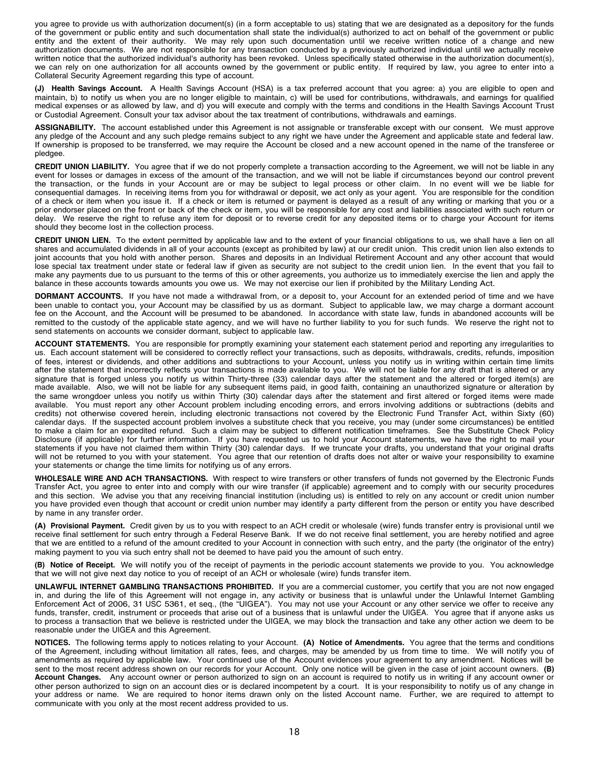you agree to provide us with authorization document(s) (in a form acceptable to us) stating that we are designated as a depository for the funds of the government or public entity and such documentation shall state the individual(s) authorized to act on behalf of the government or public entity and the extent of their authority. We may rely upon such documentation until we receive written notice of a change and new authorization documents. We are not responsible for any transaction conducted by a previously authorized individual until we actually receive written notice that the authorized individual's authority has been revoked. Unless specifically stated otherwise in the authorization document(s), we can rely on one authorization for all accounts owned by the government or public entity. If required by law, you agree to enter into a Collateral Security Agreement regarding this type of account.

**(J) Health Savings Account.** A Health Savings Account (HSA) is a tax preferred account that you agree: a) you are eligible to open and maintain, b) to notify us when you are no longer eligible to maintain, c) will be used for contributions, withdrawals, and earnings for qualified medical expenses or as allowed by law, and d) you will execute and comply with the terms and conditions in the Health Savings Account Trust or Custodial Agreement. Consult your tax advisor about the tax treatment of contributions, withdrawals and earnings.

**ASSIGNABILITY.** The account established under this Agreement is not assignable or transferable except with our consent. We must approve any pledge of the Account and any such pledge remains subject to any right we have under the Agreement and applicable state and federal law. If ownership is proposed to be transferred, we may require the Account be closed and a new account opened in the name of the transferee or pledgee.

**CREDIT UNION LIABILITY.** You agree that if we do not properly complete a transaction according to the Agreement, we will not be liable in any event for losses or damages in excess of the amount of the transaction, and we will not be liable if circumstances beyond our control prevent the transaction, or the funds in your Account are or may be subject to legal process or other claim. In no event will we be liable for consequential damages. In receiving items from you for withdrawal or deposit, we act only as your agent. You are responsible for the condition of a check or item when you issue it. If a check or item is returned or payment is delayed as a result of any writing or marking that you or a prior endorser placed on the front or back of the check or item, you will be responsible for any cost and liabilities associated with such return or delay. We reserve the right to refuse any item for deposit or to reverse credit for any deposited items or to charge your Account for items should they become lost in the collection process.

**CREDIT UNION LIEN.** To the extent permitted by applicable law and to the extent of your financial obligations to us, we shall have a lien on all shares and accumulated dividends in all of your accounts (except as prohibited by law) at our credit union. This credit union lien also extends to joint accounts that you hold with another person. Shares and deposits in an Individual Retirement Account and any other account that would lose special tax treatment under state or federal law if given as security are not subject to the credit union lien. In the event that you fail to make any payments due to us pursuant to the terms of this or other agreements, you authorize us to immediately exercise the lien and apply the balance in these accounts towards amounts you owe us. We may not exercise our lien if prohibited by the Military Lending Act.

**DORMANT ACCOUNTS.** If you have not made a withdrawal from, or a deposit to, your Account for an extended period of time and we have been unable to contact you, your Account may be classified by us as dormant. Subject to applicable law, we may charge a dormant account fee on the Account, and the Account will be presumed to be abandoned. In accordance with state law, funds in abandoned accounts will be remitted to the custody of the applicable state agency, and we will have no further liability to you for such funds. We reserve the right not to send statements on accounts we consider dormant, subject to applicable law.

**ACCOUNT STATEMENTS.** You are responsible for promptly examining your statement each statement period and reporting any irregularities to us. Each account statement will be considered to correctly reflect your transactions, such as deposits, withdrawals, credits, refunds, imposition of fees, interest or dividends, and other additions and subtractions to your Account, unless you notify us in writing within certain time limits after the statement that incorrectly reflects your transactions is made available to you. We will not be liable for any draft that is altered or any signature that is forged unless you notify us within Thirty-three (33) calendar days after the statement and the altered or forged item(s) are made available. Also, we will not be liable for any subsequent items paid, in good faith, containing an unauthorized signature or alteration by the same wrongdoer unless you notify us within Thirty (30) calendar days after the statement and first altered or forged items were made available. You must report any other Account problem including encoding errors, and errors involving additions or subtractions (debits and credits) not otherwise covered herein, including electronic transactions not covered by the Electronic Fund Transfer Act, within Sixty (60) calendar days. If the suspected account problem involves a substitute check that you receive, you may (under some circumstances) be entitled to make a claim for an expedited refund. Such a claim may be subject to different notification timeframes. See the Substitute Check Policy Disclosure (if applicable) for further information. If you have requested us to hold your Account statements, we have the right to mail your statements if you have not claimed them within Thirty (30) calendar days. If we truncate your drafts, you understand that your original drafts will not be returned to you with your statement. You agree that our retention of drafts does not alter or waive your responsibility to examine your statements or change the time limits for notifying us of any errors.

**WHOLESALE WIRE AND ACH TRANSACTIONS.** With respect to wire transfers or other transfers of funds not governed by the Electronic Funds Transfer Act, you agree to enter into and comply with our wire transfer (if applicable) agreement and to comply with our security procedures and this section. We advise you that any receiving financial institution (including us) is entitled to rely on any account or credit union number you have provided even though that account or credit union number may identify a party different from the person or entity you have described by name in any transfer order.

**(A) Provisional Payment.** Credit given by us to you with respect to an ACH credit or wholesale (wire) funds transfer entry is provisional until we receive final settlement for such entry through a Federal Reserve Bank. If we do not receive final settlement, you are hereby notified and agree that we are entitled to a refund of the amount credited to your Account in connection with such entry, and the party (the originator of the entry) making payment to you via such entry shall not be deemed to have paid you the amount of such entry.

**(B) Notice of Receipt.** We will notify you of the receipt of payments in the periodic account statements we provide to you. You acknowledge that we will not give next day notice to you of receipt of an ACH or wholesale (wire) funds transfer item.

**UNLAWFUL INTERNET GAMBLING TRANSACTIONS PROHIBITED.** If you are a commercial customer, you certify that you are not now engaged in, and during the life of this Agreement will not engage in, any activity or business that is unlawful under the Unlawful Internet Gambling Enforcement Act of 2006, 31 USC 5361, et seq., (the "UIGEA"). You may not use your Account or any other service we offer to receive any funds, transfer, credit, instrument or proceeds that arise out of a business that is unlawful under the UIGEA. You agree that if anyone asks us to process a transaction that we believe is restricted under the UIGEA, we may block the transaction and take any other action we deem to be reasonable under the UIGEA and this Agreement.

**NOTICES.** The following terms apply to notices relating to your Account. **(A) Notice of Amendments.** You agree that the terms and conditions of the Agreement, including without limitation all rates, fees, and charges, may be amended by us from time to time. We will notify you of amendments as required by applicable law. Your continued use of the Account evidences your agreement to any amendment. Notices will be sent to the most recent address shown on our records for your Account. Only one notice will be given in the case of joint account owners. **(B) Account Changes.** Any account owner or person authorized to sign on an account is required to notify us in writing if any account owner or other person authorized to sign on an account dies or is declared incompetent by a court. It is your responsibility to notify us of any change in your address or name. We are required to honor items drawn only on the listed Account name. Further, we are required to attempt to communicate with you only at the most recent address provided to us.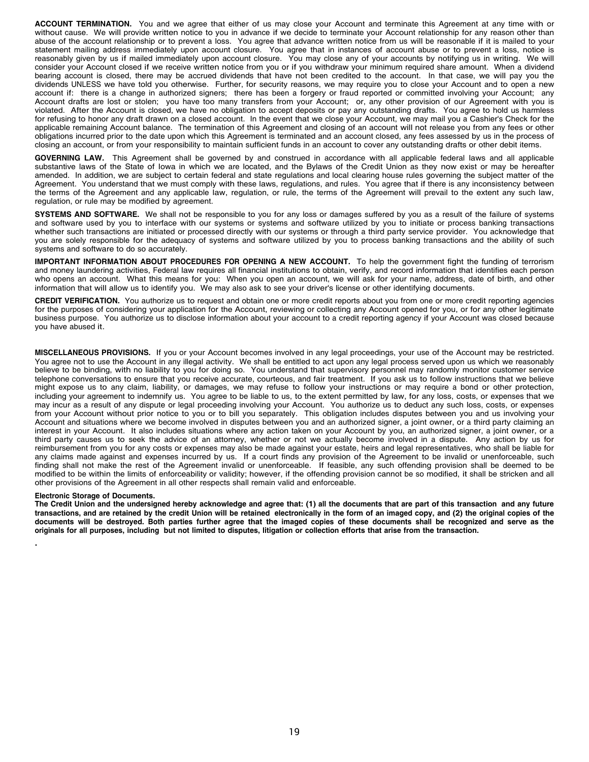**ACCOUNT TERMINATION.** You and we agree that either of us may close your Account and terminate this Agreement at any time with or without cause. We will provide written notice to you in advance if we decide to terminate your Account relationship for any reason other than abuse of the account relationship or to prevent a loss. You agree that advance written notice from us will be reasonable if it is mailed to your statement mailing address immediately upon account closure. You agree that in instances of account abuse or to prevent a loss, notice is reasonably given by us if mailed immediately upon account closure. You may close any of your accounts by notifying us in writing. We will consider your Account closed if we receive written notice from you or if you withdraw your minimum required share amount. When a dividend bearing account is closed, there may be accrued dividends that have not been credited to the account. In that case, we will pay you the dividends UNLESS we have told you otherwise. Further, for security reasons, we may require you to close your Account and to open a new account if: there is a change in authorized signers; there has been a forgery or fraud reported or committed involving your Account; any Account drafts are lost or stolen; you have too many transfers from your Account; or, any other provision of our Agreement with you is violated. After the Account is closed, we have no obligation to accept deposits or pay any outstanding drafts. You agree to hold us harmless for refusing to honor any draft drawn on a closed account. In the event that we close your Account, we may mail you a Cashier's Check for the applicable remaining Account balance. The termination of this Agreement and closing of an account will not release you from any fees or other obligations incurred prior to the date upon which this Agreement is terminated and an account closed, any fees assessed by us in the process of closing an account, or from your responsibility to maintain sufficient funds in an account to cover any outstanding drafts or other debit items.

**GOVERNING LAW.** This Agreement shall be governed by and construed in accordance with all applicable federal laws and all applicable substantive laws of the State of Iowa in which we are located, and the Bylaws of the Credit Union as they now exist or may be hereafter amended. In addition, we are subject to certain federal and state regulations and local clearing house rules governing the subject matter of the Agreement. You understand that we must comply with these laws, regulations, and rules. You agree that if there is any inconsistency between the terms of the Agreement and any applicable law, regulation, or rule, the terms of the Agreement will prevail to the extent any such law, regulation, or rule may be modified by agreement.

**SYSTEMS AND SOFTWARE.** We shall not be responsible to you for any loss or damages suffered by you as a result of the failure of systems and software used by you to interface with our systems or systems and software utilized by you to initiate or process banking transactions whether such transactions are initiated or processed directly with our systems or through a third party service provider. You acknowledge that you are solely responsible for the adequacy of systems and software utilized by you to process banking transactions and the ability of such systems and software to do so accurately.

**IMPORTANT INFORMATION ABOUT PROCEDURES FOR OPENING A NEW ACCOUNT.** To help the government fight the funding of terrorism and money laundering activities, Federal law requires all financial institutions to obtain, verify, and record information that identifies each person who opens an account. What this means for you: When you open an account, we will ask for your name, address, date of birth, and other information that will allow us to identify you. We may also ask to see your driver's license or other identifying documents.

**CREDIT VERIFICATION.** You authorize us to request and obtain one or more credit reports about you from one or more credit reporting agencies for the purposes of considering your application for the Account, reviewing or collecting any Account opened for you, or for any other legitimate business purpose. You authorize us to disclose information about your account to a credit reporting agency if your Account was closed because you have abused it.

**MISCELLANEOUS PROVISIONS.** If you or your Account becomes involved in any legal proceedings, your use of the Account may be restricted. You agree not to use the Account in any illegal activity. We shall be entitled to act upon any legal process served upon us which we reasonably believe to be binding, with no liability to you for doing so. You understand that supervisory personnel may randomly monitor customer service telephone conversations to ensure that you receive accurate, courteous, and fair treatment. If you ask us to follow instructions that we believe might expose us to any claim, liability, or damages, we may refuse to follow your instructions or may require a bond or other protection, including your agreement to indemnify us. You agree to be liable to us, to the extent permitted by law, for any loss, costs, or expenses that we may incur as a result of any dispute or legal proceeding involving your Account. You authorize us to deduct any such loss, costs, or expenses from your Account without prior notice to you or to bill you separately. This obligation includes disputes between you and us involving your Account and situations where we become involved in disputes between you and an authorized signer, a joint owner, or a third party claiming an interest in your Account. It also includes situations where any action taken on your Account by you, an authorized signer, a joint owner, or a third party causes us to seek the advice of an attorney, whether or not we actually become involved in a dispute. Any action by us for reimbursement from you for any costs or expenses may also be made against your estate, heirs and legal representatives, who shall be liable for any claims made against and expenses incurred by us. If a court finds any provision of the Agreement to be invalid or unenforceable, such finding shall not make the rest of the Agreement invalid or unenforceable. If feasible, any such offending provision shall be deemed to be modified to be within the limits of enforceability or validity; however, if the offending provision cannot be so modified, it shall be stricken and all other provisions of the Agreement in all other respects shall remain valid and enforceable.

### **Electronic Storage of Documents.**

The Credit Union and the undersigned hereby acknowledge and agree that: (1) all the documents that are part of this transaction and any future transactions, and are retained by the credit Union will be retained electronically in the form of an imaged copy, and (2) the original copies of the documents will be destroyed. Both parties further agree that the imaged copies of these documents shall be recognized and serve as the originals for all purposes, including but not limited to disputes, litigation or collection efforts that arise from the transaction.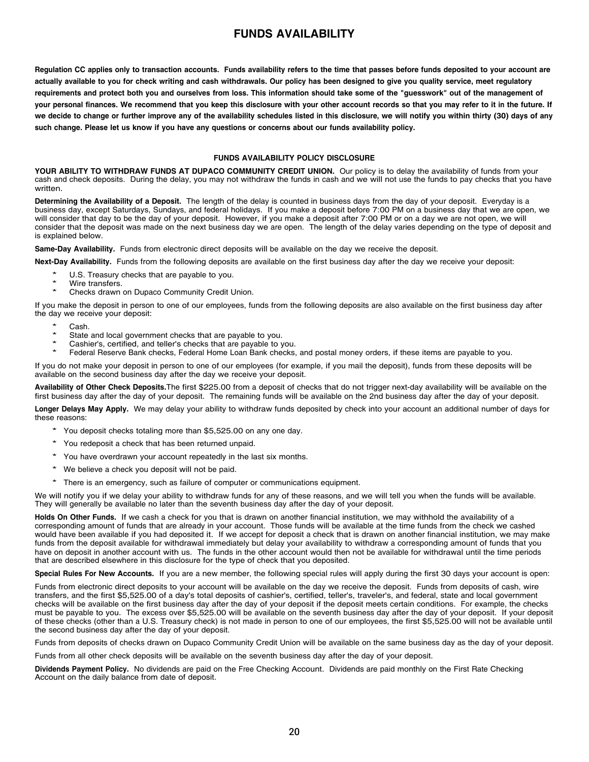## **FUNDS AVAILABILITY**

<span id="page-19-0"></span>Regulation CC applies only to transaction accounts. Funds availability refers to the time that passes before funds deposited to your account are actually available to you for check writing and cash withdrawals. Our policy has been designed to give you quality service, meet regulatory requirements and protect both you and ourselves from loss. This information should take some of the "guesswork" out of the management of your personal finances. We recommend that you keep this disclosure with your other account records so that you may refer to it in the future. If we decide to change or further improve any of the availability schedules listed in this disclosure, we will notify you within thirty (30) days of any such change. Please let us know if you have any questions or concerns about our funds availability policy.

### **FUNDS AVAILABILITY POLICY DISCLOSURE**

**YOUR ABILITY TO WITHDRAW FUNDS AT DUPACO COMMUNITY CREDIT UNION.** Our policy is to delay the availability of funds from your cash and check deposits. During the delay, you may not withdraw the funds in cash and we will not use the funds to pay checks that you have written.

**Determining the Availability of a Deposit.** The length of the delay is counted in business days from the day of your deposit. Everyday is a business day, except Saturdays, Sundays, and federal holidays. If you make a deposit before 7:00 PM on a business day that we are open, we will consider that day to be the day of your deposit. However, if you make a deposit after 7:00 PM or on a day we are not open, we will consider that the deposit was made on the next business day we are open. The length of the delay varies depending on the type of deposit and is explained below.

**Same-Day Availability.** Funds from electronic direct deposits will be available on the day we receive the deposit.

**Next-Day Availability.** Funds from the following deposits are available on the first business day after the day we receive your deposit:

- U.S. Treasury checks that are payable to you.
- \* Wire transfers.
- Checks drawn on Dupaco Community Credit Union.

If you make the deposit in person to one of our employees, funds from the following deposits are also available on the first business day after the day we receive your deposit:

- Cash.
- State and local government checks that are payable to you.
- Cashier's, certified, and teller's checks that are payable to you.
- Federal Reserve Bank checks, Federal Home Loan Bank checks, and postal money orders, if these items are payable to you.

If you do not make your deposit in person to one of our employees (for example, if you mail the deposit), funds from these deposits will be available on the second business day after the day we receive your deposit.

**Availability of Other Check Deposits.**The first \$225.00 from a deposit of checks that do not trigger next-day availability will be available on the first business day after the day of your deposit. The remaining funds will be available on the 2nd business day after the day of your deposit.

**Longer Delays May Apply.** We may delay your ability to withdraw funds deposited by check into your account an additional number of days for these reasons:

- \* You deposit checks totaling more than \$5,525.00 on any one day.
- \* You redeposit <sup>a</sup> check that has been returned unpaid.
- \* You have overdrawn your account repeatedly in the last six months.
- \* We believe <sup>a</sup> check you deposit will not be paid.
- \* There is an emergency, such as failure of computer or communications equipment.

We will notify you if we delay your ability to withdraw funds for any of these reasons, and we will tell you when the funds will be available. They will generally be available no later than the seventh business day after the day of your deposit.

**Holds On Other Funds.** If we cash a check for you that is drawn on another financial institution, we may withhold the availability of a corresponding amount of funds that are already in your account. Those funds will be available at the time funds from the check we cashed would have been available if you had deposited it. If we accept for deposit a check that is drawn on another financial institution, we may make funds from the deposit available for withdrawal immediately but delay your availability to withdraw a corresponding amount of funds that you have on deposit in another account with us. The funds in the other account would then not be available for withdrawal until the time periods that are described elsewhere in this disclosure for the type of check that you deposited.

**Special Rules For New Accounts.** If you are a new member, the following special rules will apply during the first 30 days your account is open:

Funds from electronic direct deposits to your account will be available on the day we receive the deposit. Funds from deposits of cash, wire transfers, and the first \$5,525.00 of a day's total deposits of cashier's, certified, teller's, traveler's, and federal, state and local government checks will be available on the first business day after the day of your deposit if the deposit meets certain conditions. For example, the checks must be payable to you. The excess over \$5,525.00 will be available on the seventh business day after the day of your deposit. If your deposit of these checks (other than a U.S. Treasury check) is not made in person to one of our employees, the first \$5,525.00 will not be available until the second business day after the day of your deposit.

Funds from deposits of checks drawn on Dupaco Community Credit Union will be available on the same business day as the day of your deposit.

Funds from all other check deposits will be available on the seventh business day after the day of your deposit.

**Dividends Payment Policy.** No dividends are paid on the Free Checking Account. Dividends are paid monthly on the First Rate Checking Account on the daily balance from date of deposit.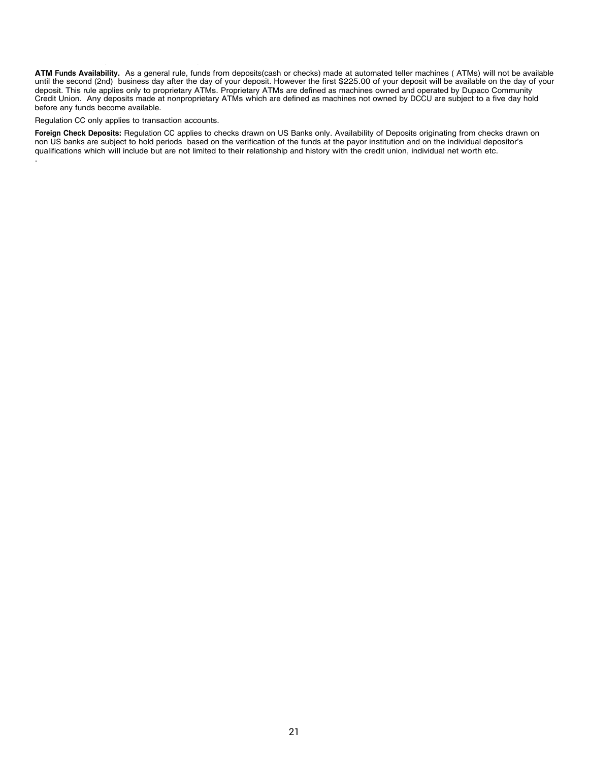**ATM Funds Availability.** As a general rule, funds from deposits(cash or checks) made at automated teller machines ( ATMs) will not be available until the second (2nd) business day after the day of your deposit. However the first \$225.00 of your deposit will be available on the day of your deposit. This rule applies only to proprietary ATMs. Proprietary ATMs are defined as machines owned and operated by Dupaco Community Credit Union. Any deposits made at nonproprietary ATMs which are defined as machines not owned by DCCU are subject to a five day hold before any funds become available.

### Regulation CC only applies to transaction accounts.

**Foreign Check Deposits:** Regulation CC applies to checks drawn on US Banks only. Availability of Deposits originating from checks drawn on non US banks are subject to hold periods based on the verification of the funds at the payor institution and on the individual depositor's qualifications which will include but are not limited to their relationship and history with the credit union, individual net worth etc. .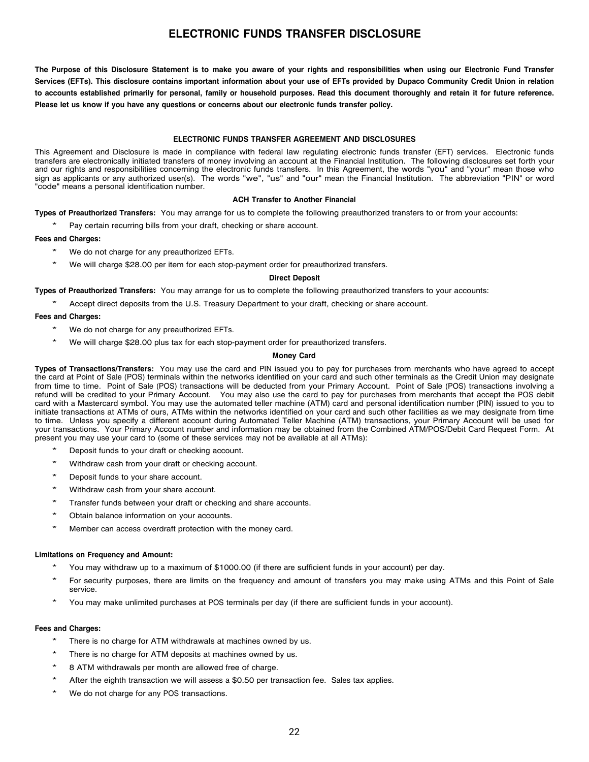## **ELECTRONIC FUNDS TRANSFER DISCLOSURE**

<span id="page-21-0"></span>The Purpose of this Disclosure Statement is to make you aware of your rights and responsibilities when using our Electronic Fund Transfer Services (EFTs). This disclosure contains important information about your use of EFTs provided by Dupaco Community Credit Union in relation to accounts established primarily for personal, family or household purposes. Read this document thoroughly and retain it for future reference. **Please let us know if you have any questions or concerns about our electronic funds transfer policy.**

### **ELECTRONIC FUNDS TRANSFER AGREEMENT AND DISCLOSURES**

This Agreement and Disclosure is made in compliance with federal law regulating electronic funds transfer (EFT) services. Electronic funds transfers are electronically initiated transfers of money involving an account at the Financial Institution. The following disclosures set forth your and our rights and responsibilities concerning the electronic funds transfers. In this Agreement, the words "you" and "your" mean those who sign as applicants or any authorized user(s). The words "we", "us" and "our" mean the Financial Institution. The abbreviation "PIN" or word "code" means a personal identification number.

### **ACH Transfer to Another Financial**

### **Types of Preauthorized Transfers:** You may arrange for us to complete the following preauthorized transfers to or from your accounts:

Pay certain recurring bills from your draft, checking or share account.

### **Fees and Charges:**

- We do not charge for any preauthorized EFTs.
- We will charge \$28.00 per item for each stop-payment order for preauthorized transfers.

### **Direct Deposit**

**Types of Preauthorized Transfers:** You may arrange for us to complete the following preauthorized transfers to your accounts:

Accept direct deposits from the U.S. Treasury Department to your draft, checking or share account.

### **Fees and Charges:**

- We do not charge for any preauthorized EFTs.
- We will charge \$28.00 plus tax for each stop-payment order for preauthorized transfers.

### **Money Card**

**Types of Transactions/Transfers:** You may use the card and PIN issued you to pay for purchases from merchants who have agreed to accept the card at Point of Sale (POS) terminals within the networks identified on your card and such other terminals as the Credit Union may designate from time to time. Point of Sale (POS) transactions will be deducted from your Primary Account. Point of Sale (POS) transactions involving a refund will be credited to your Primary Account. You may also use the card to pay for purchases from merchants that accept the POS debit card with a Mastercard symbol. You may use the automated teller machine (ATM) card and personal identification number (PIN) issued to you to initiate transactions at ATMs of ours, ATMs within the networks identified on your card and such other facilities as we may designate from time to time. Unless you specify a different account during Automated Teller Machine (ATM) transactions, your Primary Account will be used for your transactions. Your Primary Account number and information may be obtained from the Combined ATM/POS/Debit Card Request Form. At present you may use your card to (some of these services may not be available at all ATMs):

- Deposit funds to your draft or checking account.
- Withdraw cash from your draft or checking account.
- Deposit funds to your share account.
- Withdraw cash from your share account.
- Transfer funds between your draft or checking and share accounts.
- Obtain balance information on your accounts.
- Member can access overdraft protection with the money card.

### **Limitations on Frequency and Amount:**

- You may withdraw up to a maximum of \$1000.00 (if there are sufficient funds in your account) per day.
- For security purposes, there are limits on the frequency and amount of transfers you may make using ATMs and this Point of Sale service.
- You may make unlimited purchases at POS terminals per day (if there are sufficient funds in your account).

### **Fees and Charges:**

- There is no charge for ATM withdrawals at machines owned by us.
- There is no charge for ATM deposits at machines owned by us.
- 8 ATM withdrawals per month are allowed free of charge.
- After the eighth transaction we will assess a \$0.50 per transaction fee. Sales tax applies.
- We do not charge for any POS transactions.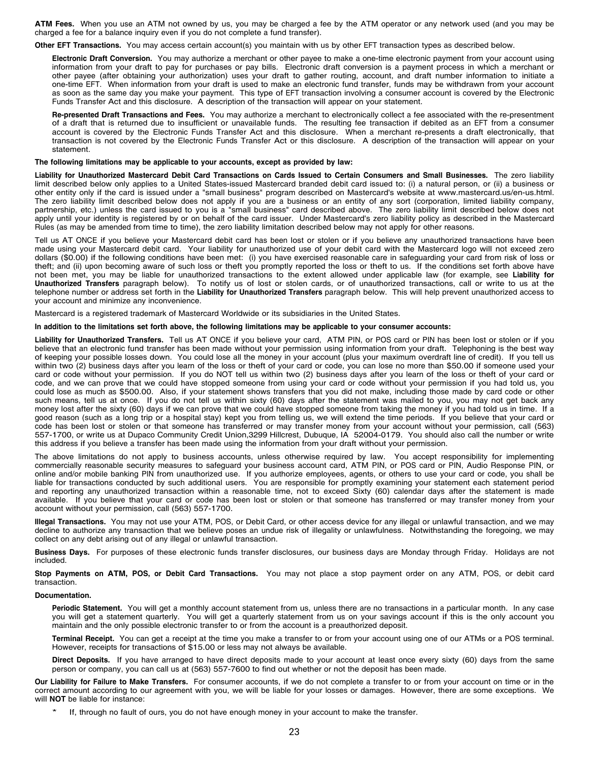**ATM Fees.** When you use an ATM not owned by us, you may be charged a fee by the ATM operator or any network used (and you may be charged a fee for a balance inquiry even if you do not complete a fund transfer).

**Other EFT Transactions.** You may access certain account(s) you maintain with us by other EFT transaction types as described below.

**Electronic Draft Conversion.** You may authorize a merchant or other payee to make a one-time electronic payment from your account using information from your draft to pay for purchases or pay bills. Electronic draft conversion is a payment process in which a merchant or other payee (after obtaining your authorization) uses your draft to gather routing, account, and draft number information to initiate a one-time EFT. When information from your draft is used to make an electronic fund transfer, funds may be withdrawn from your account as soon as the same day you make your payment. This type of EFT transaction involving a consumer account is covered by the Electronic Funds Transfer Act and this disclosure. A description of the transaction will appear on your statement.

**Re-presented Draft Transactions and Fees.** You may authorize a merchant to electronically collect a fee associated with the re-presentment of a draft that is returned due to insufficient or unavailable funds. The resulting fee transaction if debited as an EFT from a consumer account is covered by the Electronic Funds Transfer Act and this disclosure. When a merchant re-presents a draft electronically, that transaction is not covered by the Electronic Funds Transfer Act or this disclosure. A description of the transaction will appear on your statement.

### **The following limitations may be applicable to your accounts, except as provided by law:**

Liability for Unauthorized Mastercard Debit Card Transactions on Cards Issued to Certain Consumers and Small Businesses. The zero liability limit described below only applies to a United States-issued Mastercard branded debit card issued to: (i) a natural person, or (ii) a business or other entity only if the card is issued under a "small business" program described on Mastercard's website at www.mastercard.us/en-us.html. The zero liability limit described below does not apply if you are a business or an entity of any sort (corporation, limited liability company, partnership, etc.) unless the card issued to you is a "small business" card described above. The zero liability limit described below does not apply until your identity is registered by or on behalf of the card issuer. Under Mastercard's zero liability policy as described in the Mastercard Rules (as may be amended from time to time), the zero liability limitation described below may not apply for other reasons.

Tell us AT ONCE if you believe your Mastercard debit card has been lost or stolen or if you believe any unauthorized transactions have been made using your Mastercard debit card. Your liability for unauthorized use of your debit card with the Mastercard logo will not exceed zero dollars (\$0.00) if the following conditions have been met: (i) you have exercised reasonable care in safeguarding your card from risk of loss or theft; and (ii) upon becoming aware of such loss or theft you promptly reported the loss or theft to us. If the conditions set forth above have not been met, you may be liable for unauthorized transactions to the extent allowed under applicable law (for example, see **Liability for Unauthorized Transfers** paragraph below). To notify us of lost or stolen cards, or of unauthorized transactions, call or write to us at the telephone number or address set forth in the **Liability for Unauthorized Transfers** paragraph below. This will help prevent unauthorized access to your account and minimize any inconvenience.

Mastercard is a registered trademark of Mastercard Worldwide or its subsidiaries in the United States.

### In addition to the limitations set forth above, the following limitations may be applicable to your consumer accounts:

**Liability for Unauthorized Transfers.** Tell us AT ONCE if you believe your card, ATM PIN, or POS card or PIN has been lost or stolen or if you believe that an electronic fund transfer has been made without your permission using information from your draft. Telephoning is the best way of keeping your possible losses down. You could lose all the money in your account (plus your maximum overdraft line of credit). If you tell us within two (2) business days after you learn of the loss or theft of your card or code, you can lose no more than \$50.00 if someone used your card or code without your permission. If you do NOT tell us within two (2) business days after you learn of the loss or theft of your card or code, and we can prove that we could have stopped someone from using your card or code without your permission if you had told us, you could lose as much as \$500.00. Also, if your statement shows transfers that you did not make, including those made by card code or other such means, tell us at once. If you do not tell us within sixty (60) days after the statement was mailed to you, you may not get back any money lost after the sixty (60) days if we can prove that we could have stopped someone from taking the money if you had told us in time. If a good reason (such as a long trip or a hospital stay) kept you from telling us, we will extend the time periods. If you believe that your card or code has been lost or stolen or that someone has transferred or may transfer money from your account without your permission, call (563) 557-1700, or write us at Dupaco Community Credit Union,3299 Hillcrest, Dubuque, IA 52004-0179. You should also call the number or write this address if you believe a transfer has been made using the information from your draft without your permission.

The above limitations do not apply to business accounts, unless otherwise required by law. You accept responsibility for implementing commercially reasonable security measures to safeguard your business account card, ATM PIN, or POS card or PIN, Audio Response PIN, or online and/or mobile banking PIN from unauthorized use. If you authorize employees, agents, or others to use your card or code, you shall be liable for transactions conducted by such additional users. You are responsible for promptly examining your statement each statement period and reporting any unauthorized transaction within a reasonable time, not to exceed Sixty (60) calendar days after the statement is made available. If you believe that your card or code has been lost or stolen or that someone has transferred or may transfer money from your account without your permission, call (563) 557-1700.

**Illegal Transactions.** You may not use your ATM, POS, or Debit Card, or other access device for any illegal or unlawful transaction, and we may decline to authorize any transaction that we believe poses an undue risk of illegality or unlawfulness. Notwithstanding the foregoing, we may collect on any debt arising out of any illegal or unlawful transaction.

**Business Days.** For purposes of these electronic funds transfer disclosures, our business days are Monday through Friday. Holidays are not included.

**Stop Payments on ATM, POS, or Debit Card Transactions.** You may not place a stop payment order on any ATM, POS, or debit card transaction.

#### **Documentation.**

**Periodic Statement.** You will get a monthly account statement from us, unless there are no transactions in a particular month. In any case you will get a statement quarterly. You will get a quarterly statement from us on your savings account if this is the only account you maintain and the only possible electronic transfer to or from the account is a preauthorized deposit.

**Terminal Receipt.** You can get a receipt at the time you make a transfer to or from your account using one of our ATMs or a POS terminal. However, receipts for transactions of \$15.00 or less may not always be available.

**Direct Deposits.** If you have arranged to have direct deposits made to your account at least once every sixty (60) days from the same person or company, you can call us at (563) 557-7600 to find out whether or not the deposit has been made.

**Our Liability for Failure to Make Transfers.** For consumer accounts, if we do not complete a transfer to or from your account on time or in the correct amount according to our agreement with you, we will be liable for your losses or damages. However, there are some exceptions. We will **NOT** be liable for instance:

If, through no fault of ours, you do not have enough money in your account to make the transfer.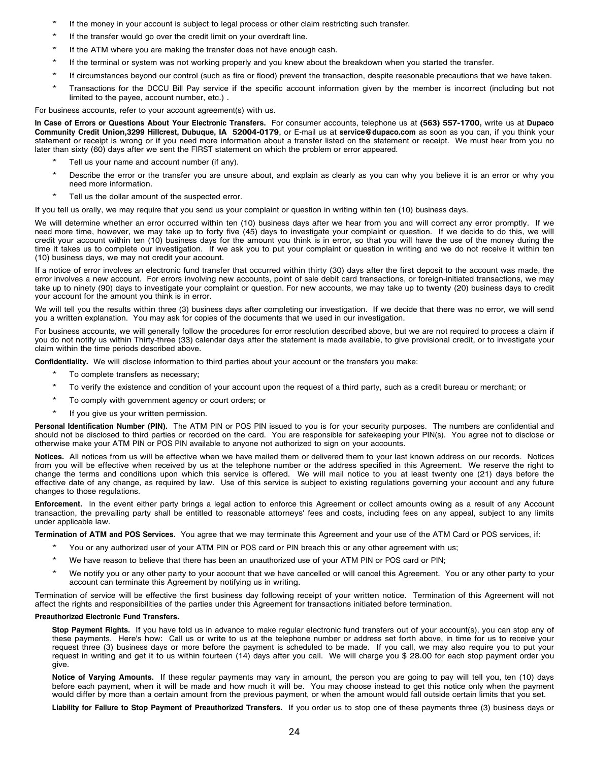- If the money in your account is subject to legal process or other claim restricting such transfer.
- If the transfer would go over the credit limit on your overdraft line.
- If the ATM where you are making the transfer does not have enough cash.
- If the terminal or system was not working properly and you knew about the breakdown when you started the transfer.
- If circumstances beyond our control (such as fire or flood) prevent the transaction, despite reasonable precautions that we have taken.
- \* Transactions for the DCCU Bill Pay service if the specific account information given by the member is incorrect (including but not limited to the payee, account number, etc.) .

For business accounts, refer to your account agreement(s) with us.

In Case of Errors or Questions About Your Electronic Transfers. For consumer accounts, telephone us at (563) 557-1700, write us at Dupaco **Community Credit Union,3299 Hillcrest, Dubuque, IA 52004-0179**, or E-mail us at **service@dupaco.com** as soon as you can, if you think your statement or receipt is wrong or if you need more information about a transfer listed on the statement or receipt. We must hear from you no later than sixty (60) days after we sent the FIRST statement on which the problem or error appeared.

- Tell us your name and account number (if any).
- \* Describe the error or the transfer you are unsure about, and explain as clearly as you can why you believe it is an error or why you need more information.
- Tell us the dollar amount of the suspected error.

If you tell us orally, we may require that you send us your complaint or question in writing within ten (10) business days.

We will determine whether an error occurred within ten (10) business days after we hear from you and will correct any error promptly. If we need more time, however, we may take up to forty five (45) days to investigate your complaint or question. If we decide to do this, we will credit your account within ten (10) business days for the amount you think is in error, so that you will have the use of the money during the time it takes us to complete our investigation. If we ask you to put your complaint or question in writing and we do not receive it within ten (10) business days, we may not credit your account.

If a notice of error involves an electronic fund transfer that occurred within thirty (30) days after the first deposit to the account was made, the error involves a new account. For errors involving new accounts, point of sale debit card transactions, or foreign-initiated transactions, we may take up to ninety (90) days to investigate your complaint or question. For new accounts, we may take up to twenty (20) business days to credit your account for the amount you think is in error.

We will tell you the results within three (3) business days after completing our investigation. If we decide that there was no error, we will send you a written explanation. You may ask for copies of the documents that we used in our investigation.

For business accounts, we will generally follow the procedures for error resolution described above, but we are not required to process a claim if you do not notify us within Thirty-three (33) calendar days after the statement is made available, to give provisional credit, or to investigate your claim within the time periods described above.

**Confidentiality.** We will disclose information to third parties about your account or the transfers you make:

- To complete transfers as necessary;
- \* To verify the existence and condition of your account upon the request of <sup>a</sup> third party, such as <sup>a</sup> credit bureau or merchant; or
- To comply with government agency or court orders; or
- If you give us your written permission.

**Personal Identification Number (PIN).** The ATM PIN or POS PIN issued to you is for your security purposes. The numbers are confidential and should not be disclosed to third parties or recorded on the card. You are responsible for safekeeping your PIN(s). You agree not to disclose or otherwise make your ATM PIN or POS PIN available to anyone not authorized to sign on your accounts.

**Notices.** All notices from us will be effective when we have mailed them or delivered them to your last known address on our records. Notices from you will be effective when received by us at the telephone number or the address specified in this Agreement. We reserve the right to change the terms and conditions upon which this service is offered. We will mail notice to you at least twenty one (21) days before the effective date of any change, as required by law. Use of this service is subject to existing regulations governing your account and any future changes to those regulations.

**Enforcement.** In the event either party brings a legal action to enforce this Agreement or collect amounts owing as a result of any Account transaction, the prevailing party shall be entitled to reasonable attorneys' fees and costs, including fees on any appeal, subject to any limits under applicable law.

**Termination of ATM and POS Services.** You agree that we may terminate this Agreement and your use of the ATM Card or POS services, if:

- You or any authorized user of your ATM PIN or POS card or PIN breach this or any other agreement with us;
- We have reason to believe that there has been an unauthorized use of your ATM PIN or POS card or PIN;
- We notify you or any other party to your account that we have cancelled or will cancel this Agreement. You or any other party to your account can terminate this Agreement by notifying us in writing.

Termination of service will be effective the first business day following receipt of your written notice. Termination of this Agreement will not affect the rights and responsibilities of the parties under this Agreement for transactions initiated before termination.

### **Preauthorized Electronic Fund Transfers.**

**Stop Payment Rights.** If you have told us in advance to make regular electronic fund transfers out of your account(s), you can stop any of these payments. Here's how: Call us or write to us at the telephone number or address set forth above, in time for us to receive your request three (3) business days or more before the payment is scheduled to be made. If you call, we may also require you to put your request in writing and get it to us within fourteen (14) days after you call. We will charge you \$ 28.00 for each stop payment order you give.

**Notice of Varying Amounts.** If these regular payments may vary in amount, the person you are going to pay will tell you, ten (10) days before each payment, when it will be made and how much it will be. You may choose instead to get this notice only when the payment would differ by more than a certain amount from the previous payment, or when the amount would fall outside certain limits that you set.

**Liability for Failure to Stop Payment of Preauthorized Transfers.** If you order us to stop one of these payments three (3) business days or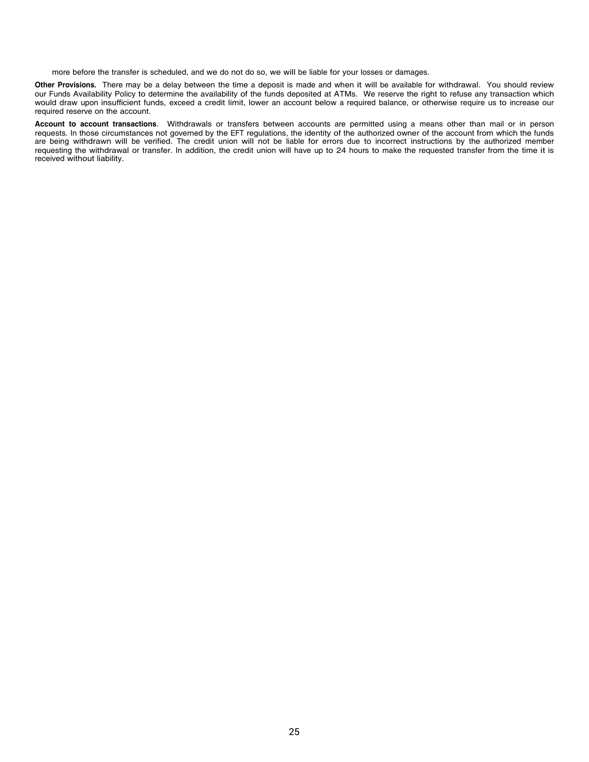more before the transfer is scheduled, and we do not do so, we will be liable for your losses or damages.

**Other Provisions.** There may be a delay between the time a deposit is made and when it will be available for withdrawal. You should review our Funds Availability Policy to determine the availability of the funds deposited at ATMs. We reserve the right to refuse any transaction which would draw upon insufficient funds, exceed a credit limit, lower an account below a required balance, or otherwise require us to increase our required reserve on the account.

**Account to account transactions**. Withdrawals or transfers between accounts are permitted using a means other than mail or in person requests. In those circumstances not governed by the EFT regulations, the identity of the authorized owner of the account from which the funds are being withdrawn will be verified. The credit union will not be liable for errors due to incorrect instructions by the authorized member requesting the withdrawal or transfer. In addition, the credit union will have up to 24 hours to make the requested transfer from the time it is received without liability.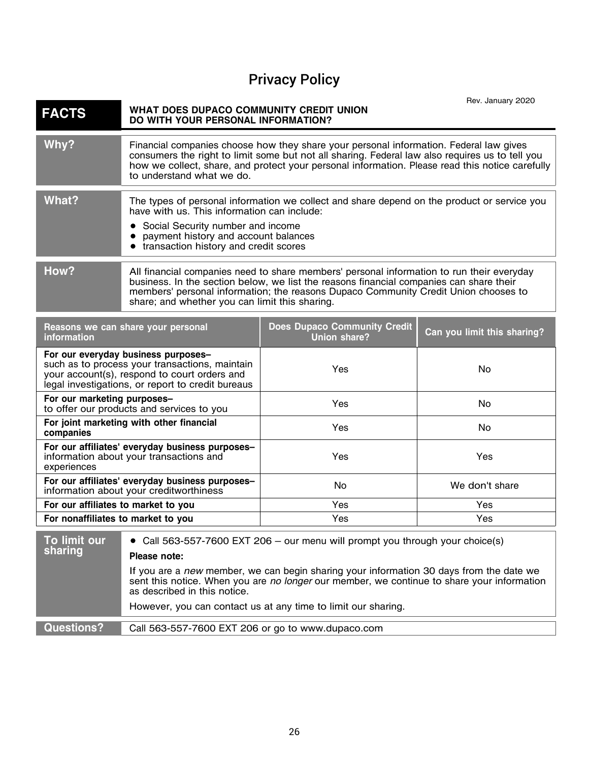# Privacy Policy

20

<span id="page-25-0"></span>

| <b>FACTS</b>                                                                                                                                                                                                                                                                                                                          | WHAT DOES DUPACO COMMUNITY CREDIT UNION<br>DO WITH YOUR PERSONAL INFORMATION?                                                                                     |                                                                                                                                                                                                                                                                                              | Rev. January 2020 |
|---------------------------------------------------------------------------------------------------------------------------------------------------------------------------------------------------------------------------------------------------------------------------------------------------------------------------------------|-------------------------------------------------------------------------------------------------------------------------------------------------------------------|----------------------------------------------------------------------------------------------------------------------------------------------------------------------------------------------------------------------------------------------------------------------------------------------|-------------------|
| Why?                                                                                                                                                                                                                                                                                                                                  | to understand what we do.                                                                                                                                         | Financial companies choose how they share your personal information. Federal law gives<br>consumers the right to limit some but not all sharing. Federal law also requires us to tell you<br>how we collect, share, and protect your personal information. Please read this notice carefully |                   |
| What?                                                                                                                                                                                                                                                                                                                                 | have with us. This information can include:<br>Social Security number and income<br>payment history and account balances<br>transaction history and credit scores | The types of personal information we collect and share depend on the product or service you                                                                                                                                                                                                  |                   |
| How?<br>All financial companies need to share members' personal information to run their everyday<br>business. In the section below, we list the reasons financial companies can share their<br>members' personal information; the reasons Dupaco Community Credit Union chooses to<br>share; and whether you can limit this sharing. |                                                                                                                                                                   |                                                                                                                                                                                                                                                                                              |                   |
| <b>Does Dupaco Community Credit</b><br>Reasons we can share your personal<br><b>Union share?</b><br>information                                                                                                                                                                                                                       |                                                                                                                                                                   | Can you limit this sharing?                                                                                                                                                                                                                                                                  |                   |
|                                                                                                                                                                                                                                                                                                                                       | For our everyday business purposes-<br>such as to process your transactions, maintain                                                                             | $V_{\mathbf{Q} \mathbf{C}}$                                                                                                                                                                                                                                                                  | NM.               |

| <u>al adl alalitadi baallised balbeede</u><br>such as to process your transactions, maintain<br>your account(s), respond to court orders and<br>legal investigations, or report to credit bureaus | Yes        | No             |
|---------------------------------------------------------------------------------------------------------------------------------------------------------------------------------------------------|------------|----------------|
| For our marketing purposes-<br>to offer our products and services to you                                                                                                                          | <b>Yes</b> | No             |
| For joint marketing with other financial<br>companies                                                                                                                                             | Yes        | No             |
| For our affiliates' everyday business purposes-<br>information about your transactions and<br>experiences                                                                                         | Yes        | Yes            |
| For our affiliates' everyday business purposes-<br>information about your creditworthiness                                                                                                        | No.        | We don't share |
| For our affiliates to market to you                                                                                                                                                               | Yes        | Yes            |
| For nonaffiliates to market to you                                                                                                                                                                | Yes        | Yes            |

| To limit our<br>sharing | • Call 563-557-7600 EXT 206 - our menu will prompt you through your choice(s)<br>Please note:                                                                                                                         |
|-------------------------|-----------------------------------------------------------------------------------------------------------------------------------------------------------------------------------------------------------------------|
|                         | If you are a new member, we can begin sharing your information 30 days from the date we<br>sent this notice. When you are no longer our member, we continue to share your information<br>as described in this notice. |
|                         | However, you can contact us at any time to limit our sharing.                                                                                                                                                         |
|                         |                                                                                                                                                                                                                       |
| <b>Questions?</b>       | Call 563-557-7600 EXT 206 or go to www.dupaco.com                                                                                                                                                                     |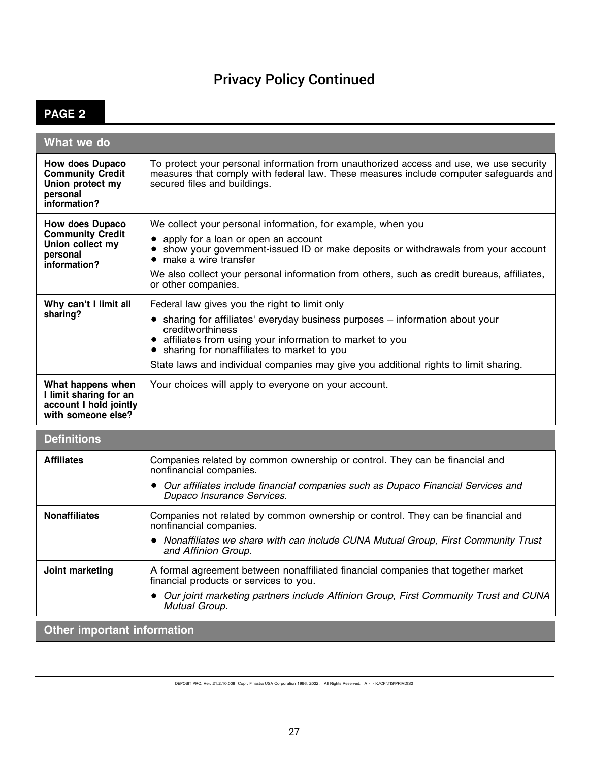## Privacy Policy Continued

## **PAGE 2**

| What we do                                                                                        |                                                                                                                                                                                                                                                                                                                                                     |
|---------------------------------------------------------------------------------------------------|-----------------------------------------------------------------------------------------------------------------------------------------------------------------------------------------------------------------------------------------------------------------------------------------------------------------------------------------------------|
| <b>How does Dupaco</b><br><b>Community Credit</b><br>Union protect my<br>personal<br>information? | To protect your personal information from unauthorized access and use, we use security<br>measures that comply with federal law. These measures include computer safeguards and<br>secured files and buildings.                                                                                                                                     |
| How does Dupaco<br><b>Community Credit</b><br>Union collect my<br>personal<br>information?        | We collect your personal information, for example, when you<br>apply for a loan or open an account<br>show your government-issued ID or make deposits or withdrawals from your account<br>$\bullet$<br>make a wire transfer<br>We also collect your personal information from others, such as credit bureaus, affiliates,<br>or other companies.    |
| Why can't I limit all<br>sharing?                                                                 | Federal law gives you the right to limit only<br>sharing for affiliates' everyday business purposes - information about your<br>creditworthiness<br>• affiliates from using your information to market to you<br>sharing for nonaffiliates to market to you<br>State laws and individual companies may give you additional rights to limit sharing. |
| What happens when<br>I limit sharing for an<br>account I hold jointly<br>with someone else?       | Your choices will apply to everyone on your account.                                                                                                                                                                                                                                                                                                |
| <b>Definitions</b>                                                                                |                                                                                                                                                                                                                                                                                                                                                     |
| <b>Affiliates</b>                                                                                 | Companies related by common ownership or control. They can be financial and<br>nonfinancial companies.<br>• Our affiliates include financial companies such as Dupaco Financial Services and<br>Dupaco Insurance Services.                                                                                                                          |
| <b>Nonaffiliates</b>                                                                              | Companies not related by common ownership or control. They can be financial and<br>nonfinancial companies.<br>Nonaffiliates we share with can include CUNA Mutual Group, First Community Trust<br>and Affinion Group.                                                                                                                               |
| Joint marketing                                                                                   | A formal agreement between nonaffiliated financial companies that together market<br>financial products or services to you.                                                                                                                                                                                                                         |

*Our joint marketing partners include Affinion Group, First Community Trust and CUNA Mutual Group.*

**Other important information**

DEPOSIT PRO, Ver. 21.2.10.008 Copr. Finastra USA Corporation 1996, 2022. All Rights Reserved. IA - - K:\CFI\TIS\PRIVDIS2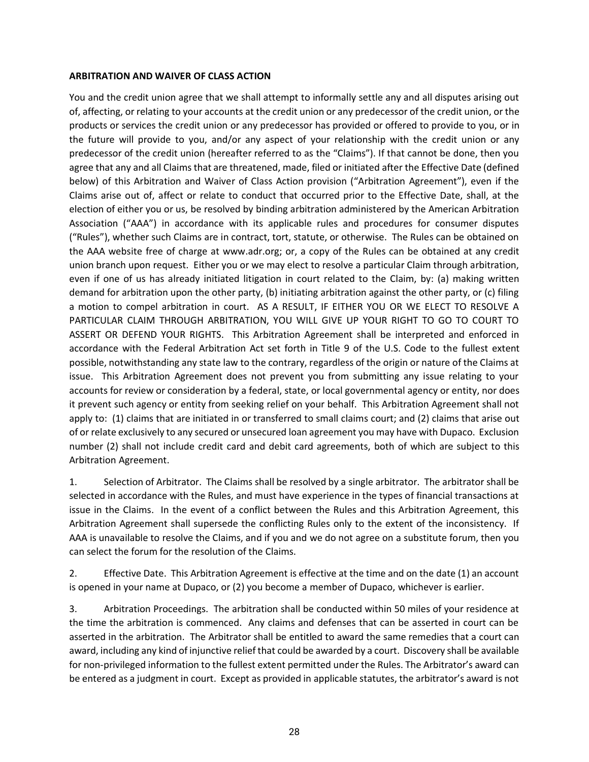### <span id="page-27-0"></span>**ARBITRATION AND WAIVER OF CLASS ACTION**

You and the credit union agree that we shall attempt to informally settle any and all disputes arising out of, affecting, or relating to your accounts at the credit union or any predecessor of the credit union, or the products or services the credit union or any predecessor has provided or offered to provide to you, or in the future will provide to you, and/or any aspect of your relationship with the credit union or any predecessor of the credit union (hereafter referred to as the "Claims"). If that cannot be done, then you agree that any and all Claims that are threatened, made, filed or initiated after the Effective Date (defined below) of this Arbitration and Waiver of Class Action provision ("Arbitration Agreement"), even if the Claims arise out of, affect or relate to conduct that occurred prior to the Effective Date, shall, at the election of either you or us, be resolved by binding arbitration administered by the American Arbitration Association ("AAA") in accordance with its applicable rules and procedures for consumer disputes ("Rules"), whether such Claims are in contract, tort, statute, or otherwise. The Rules can be obtained on the AAA website free of charge at www.adr.org; or, a copy of the Rules can be obtained at any credit union branch upon request. Either you or we may elect to resolve a particular Claim through arbitration, even if one of us has already initiated litigation in court related to the Claim, by: (a) making written demand for arbitration upon the other party, (b) initiating arbitration against the other party, or (c) filing a motion to compel arbitration in court. AS A RESULT, IF EITHER YOU OR WE ELECT TO RESOLVE A PARTICULAR CLAIM THROUGH ARBITRATION, YOU WILL GIVE UP YOUR RIGHT TO GO TO COURT TO ASSERT OR DEFEND YOUR RIGHTS. This Arbitration Agreement shall be interpreted and enforced in accordance with the Federal Arbitration Act set forth in Title 9 of the U.S. Code to the fullest extent possible, notwithstanding any state law to the contrary, regardless of the origin or nature of the Claims at issue. This Arbitration Agreement does not prevent you from submitting any issue relating to your accounts for review or consideration by a federal, state, or local governmental agency or entity, nor does it prevent such agency or entity from seeking relief on your behalf. This Arbitration Agreement shall not apply to: (1) claims that are initiated in or transferred to small claims court; and (2) claims that arise out of or relate exclusively to any secured or unsecured loan agreement you may have with Dupaco. Exclusion number (2) shall not include credit card and debit card agreements, both of which are subject to this Arbitration Agreement.

1. Selection of Arbitrator. The Claims shall be resolved by a single arbitrator. The arbitrator shall be selected in accordance with the Rules, and must have experience in the types of financial transactions at issue in the Claims. In the event of a conflict between the Rules and this Arbitration Agreement, this Arbitration Agreement shall supersede the conflicting Rules only to the extent of the inconsistency. If AAA is unavailable to resolve the Claims, and if you and we do not agree on a substitute forum, then you can select the forum for the resolution of the Claims.

2. Effective Date. This Arbitration Agreement is effective at the time and on the date (1) an account is opened in your name at Dupaco, or (2) you become a member of Dupaco, whichever is earlier.

3. Arbitration Proceedings. The arbitration shall be conducted within 50 miles of your residence at the time the arbitration is commenced. Any claims and defenses that can be asserted in court can be asserted in the arbitration. The Arbitrator shall be entitled to award the same remedies that a court can award, including any kind of injunctive relief that could be awarded by a court. Discovery shall be available for non-privileged information to the fullest extent permitted under the Rules. The Arbitrator's award can be entered as a judgment in court. Except as provided in applicable statutes, the arbitrator's award is not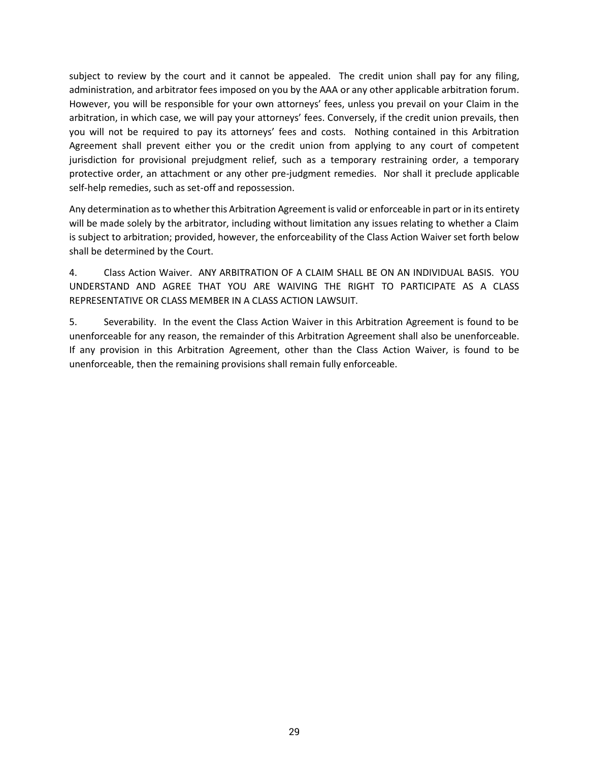subject to review by the court and it cannot be appealed. The credit union shall pay for any filing, administration, and arbitrator fees imposed on you by the AAA or any other applicable arbitration forum. However, you will be responsible for your own attorneys' fees, unless you prevail on your Claim in the arbitration, in which case, we will pay your attorneys' fees. Conversely, if the credit union prevails, then you will not be required to pay its attorneys' fees and costs. Nothing contained in this Arbitration Agreement shall prevent either you or the credit union from applying to any court of competent jurisdiction for provisional prejudgment relief, such as a temporary restraining order, a temporary protective order, an attachment or any other pre-judgment remedies. Nor shall it preclude applicable self-help remedies, such as set-off and repossession.

Any determination as to whether this Arbitration Agreement is valid or enforceable in part or in its entirety will be made solely by the arbitrator, including without limitation any issues relating to whether a Claim is subject to arbitration; provided, however, the enforceability of the Class Action Waiver set forth below shall be determined by the Court.

4. Class Action Waiver. ANY ARBITRATION OF A CLAIM SHALL BE ON AN INDIVIDUAL BASIS. YOU UNDERSTAND AND AGREE THAT YOU ARE WAIVING THE RIGHT TO PARTICIPATE AS A CLASS REPRESENTATIVE OR CLASS MEMBER IN A CLASS ACTION LAWSUIT.

5. Severability. In the event the Class Action Waiver in this Arbitration Agreement is found to be unenforceable for any reason, the remainder of this Arbitration Agreement shall also be unenforceable. If any provision in this Arbitration Agreement, other than the Class Action Waiver, is found to be unenforceable, then the remaining provisions shall remain fully enforceable.